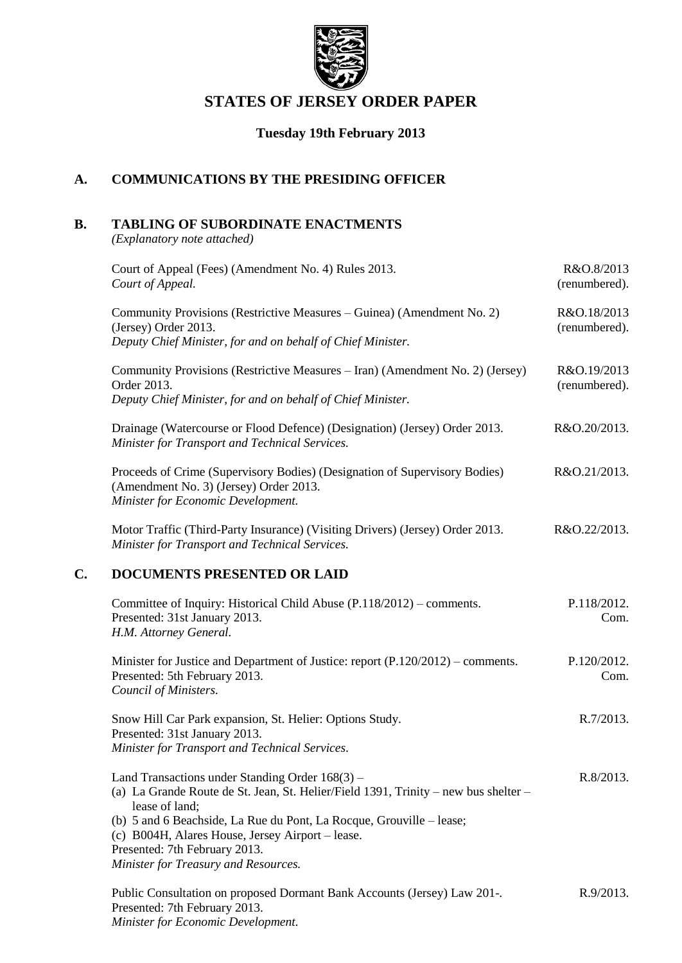

# **STATES OF JERSEY ORDER PAPER**

# **Tuesday 19th February 2013**

## **A. COMMUNICATIONS BY THE PRESIDING OFFICER**

# **B. TABLING OF SUBORDINATE ENACTMENTS**

*(Explanatory note attached)*

|    | Court of Appeal (Fees) (Amendment No. 4) Rules 2013.<br>Court of Appeal.                                                                                                                                                                                                             | R&O.8/2013<br>(renumbered).  |
|----|--------------------------------------------------------------------------------------------------------------------------------------------------------------------------------------------------------------------------------------------------------------------------------------|------------------------------|
|    | Community Provisions (Restrictive Measures – Guinea) (Amendment No. 2)<br>(Jersey) Order 2013.<br>Deputy Chief Minister, for and on behalf of Chief Minister.                                                                                                                        | R&O.18/2013<br>(renumbered). |
|    | Community Provisions (Restrictive Measures – Iran) (Amendment No. 2) (Jersey)<br>Order 2013.<br>Deputy Chief Minister, for and on behalf of Chief Minister.                                                                                                                          | R&O.19/2013<br>(renumbered). |
|    | Drainage (Watercourse or Flood Defence) (Designation) (Jersey) Order 2013.<br>Minister for Transport and Technical Services.                                                                                                                                                         | R&O.20/2013.                 |
|    | Proceeds of Crime (Supervisory Bodies) (Designation of Supervisory Bodies)<br>(Amendment No. 3) (Jersey) Order 2013.<br>Minister for Economic Development.                                                                                                                           | R&O.21/2013.                 |
|    | Motor Traffic (Third-Party Insurance) (Visiting Drivers) (Jersey) Order 2013.<br>Minister for Transport and Technical Services.                                                                                                                                                      | R&O.22/2013.                 |
| C. | <b>DOCUMENTS PRESENTED OR LAID</b>                                                                                                                                                                                                                                                   |                              |
|    | Committee of Inquiry: Historical Child Abuse (P.118/2012) – comments.<br>Presented: 31st January 2013.<br>H.M. Attorney General.                                                                                                                                                     | P.118/2012.<br>Com.          |
|    | Minister for Justice and Department of Justice: report (P.120/2012) – comments.<br>Presented: 5th February 2013.<br>Council of Ministers.                                                                                                                                            | P.120/2012.<br>Com.          |
|    | Snow Hill Car Park expansion, St. Helier: Options Study.<br>Presented: 31st January 2013.<br>Minister for Transport and Technical Services.                                                                                                                                          | R.7/2013.                    |
|    | Land Transactions under Standing Order 168(3) -<br>(a) La Grande Route de St. Jean, St. Helier/Field 1391, Trinity – new bus shelter –<br>lease of land;<br>(b) 5 and 6 Beachside, La Rue du Pont, La Rocque, Grouville – lease;<br>(c) B004H, Alares House, Jersey Airport – lease. | R.8/2013.                    |
|    | Presented: 7th February 2013.<br>Minister for Treasury and Resources.                                                                                                                                                                                                                |                              |
|    | Public Consultation on proposed Dormant Bank Accounts (Jersey) Law 201-.<br>Presented: 7th February 2013.                                                                                                                                                                            | R.9/2013.                    |

*Minister for Economic Development.*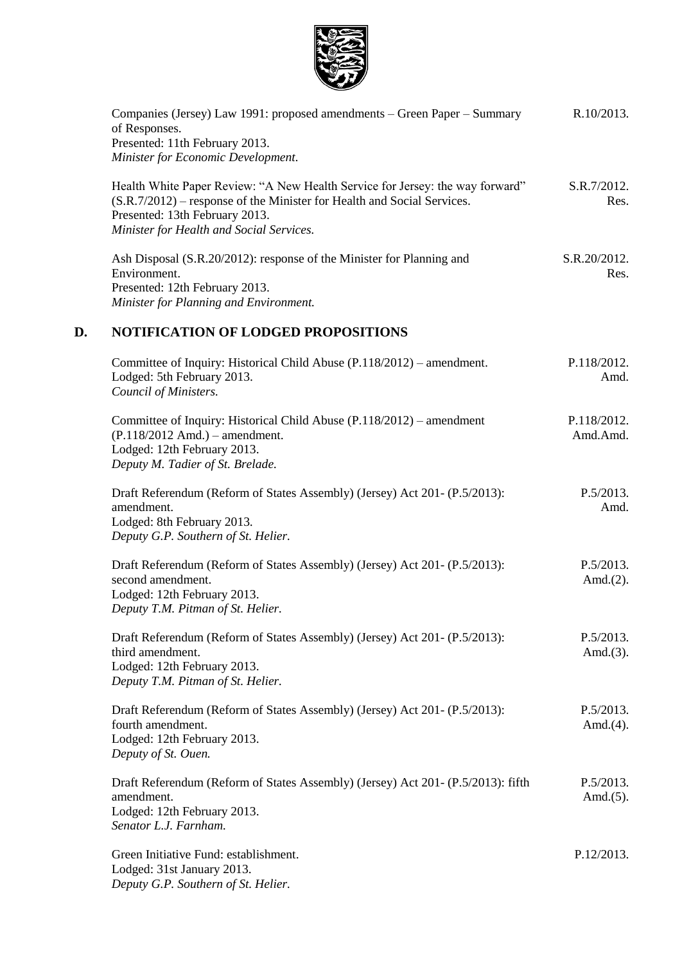

|    | Companies (Jersey) Law 1991: proposed amendments – Green Paper – Summary<br>of Responses.<br>Presented: 11th February 2013.<br>Minister for Economic Development.                                                                      | R.10/2013.                |
|----|----------------------------------------------------------------------------------------------------------------------------------------------------------------------------------------------------------------------------------------|---------------------------|
|    | Health White Paper Review: "A New Health Service for Jersey: the way forward"<br>(S.R.7/2012) – response of the Minister for Health and Social Services.<br>Presented: 13th February 2013.<br>Minister for Health and Social Services. | S.R.7/2012.<br>Res.       |
|    | Ash Disposal (S.R.20/2012): response of the Minister for Planning and<br>Environment.<br>Presented: 12th February 2013.<br>Minister for Planning and Environment.                                                                      | S.R.20/2012.<br>Res.      |
| D. | <b>NOTIFICATION OF LODGED PROPOSITIONS</b>                                                                                                                                                                                             |                           |
|    | Committee of Inquiry: Historical Child Abuse (P.118/2012) – amendment.<br>Lodged: 5th February 2013.<br>Council of Ministers.                                                                                                          | P.118/2012.<br>Amd.       |
|    | Committee of Inquiry: Historical Child Abuse (P.118/2012) – amendment<br>$(P.118/2012$ Amd.) – amendment.<br>Lodged: 12th February 2013.<br>Deputy M. Tadier of St. Brelade.                                                           | P.118/2012.<br>Amd.Amd.   |
|    | Draft Referendum (Reform of States Assembly) (Jersey) Act 201- (P.5/2013):<br>amendment.<br>Lodged: 8th February 2013.<br>Deputy G.P. Southern of St. Helier.                                                                          | P.5/2013.<br>Amd.         |
|    | Draft Referendum (Reform of States Assembly) (Jersey) Act 201- (P.5/2013):<br>second amendment.<br>Lodged: 12th February 2013.<br>Deputy T.M. Pitman of St. Helier.                                                                    | P.5/2013.<br>Amd. $(2)$ . |
|    | Draft Referendum (Reform of States Assembly) (Jersey) Act 201- (P.5/2013):<br>third amendment.<br>Lodged: 12th February 2013.<br>Deputy T.M. Pitman of St. Helier.                                                                     | P.5/2013.<br>Amd. $(3)$ . |
|    | Draft Referendum (Reform of States Assembly) (Jersey) Act 201- (P.5/2013):<br>fourth amendment.<br>Lodged: 12th February 2013.<br>Deputy of St. Ouen.                                                                                  | P.5/2013.<br>Amd. $(4)$ . |
|    | Draft Referendum (Reform of States Assembly) (Jersey) Act 201- (P.5/2013): fifth<br>amendment.<br>Lodged: 12th February 2013.<br>Senator L.J. Farnham.                                                                                 | P.5/2013.<br>Amd. $(5)$ . |
|    | Green Initiative Fund: establishment.<br>Lodged: 31st January 2013.<br>Deputy G.P. Southern of St. Helier.                                                                                                                             | P.12/2013.                |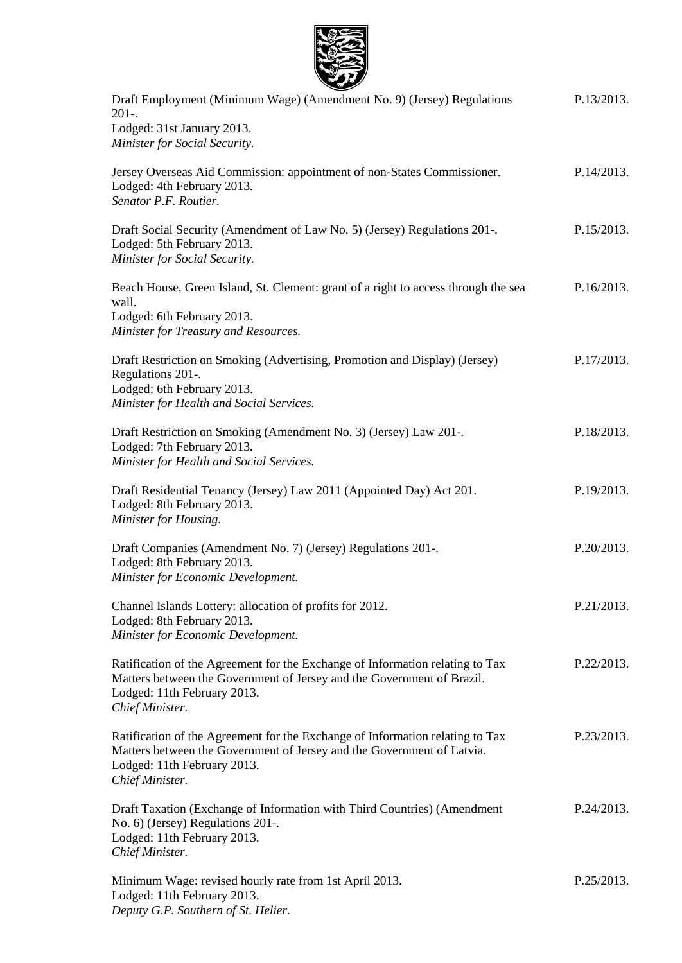

| $\sim$ $\sim$<br>Draft Employment (Minimum Wage) (Amendment No. 9) (Jersey) Regulations<br>$201-.$<br>Lodged: 31st January 2013.<br>Minister for Social Security.                                         | P.13/2013. |
|-----------------------------------------------------------------------------------------------------------------------------------------------------------------------------------------------------------|------------|
| Jersey Overseas Aid Commission: appointment of non-States Commissioner.<br>Lodged: 4th February 2013.<br>Senator P.F. Routier.                                                                            | P.14/2013. |
| Draft Social Security (Amendment of Law No. 5) (Jersey) Regulations 201-.<br>Lodged: 5th February 2013.<br>Minister for Social Security.                                                                  | P.15/2013. |
| Beach House, Green Island, St. Clement: grant of a right to access through the sea<br>wall.<br>Lodged: 6th February 2013.<br>Minister for Treasury and Resources.                                         | P.16/2013. |
| Draft Restriction on Smoking (Advertising, Promotion and Display) (Jersey)<br>Regulations 201-.<br>Lodged: 6th February 2013.<br>Minister for Health and Social Services.                                 | P.17/2013. |
| Draft Restriction on Smoking (Amendment No. 3) (Jersey) Law 201-.<br>Lodged: 7th February 2013.<br>Minister for Health and Social Services.                                                               | P.18/2013. |
| Draft Residential Tenancy (Jersey) Law 2011 (Appointed Day) Act 201.<br>Lodged: 8th February 2013.<br>Minister for Housing.                                                                               | P.19/2013. |
| Draft Companies (Amendment No. 7) (Jersey) Regulations 201-.<br>Lodged: 8th February 2013.<br>Minister for Economic Development.                                                                          | P.20/2013. |
| Channel Islands Lottery: allocation of profits for 2012.<br>Lodged: 8th February 2013.<br>Minister for Economic Development.                                                                              | P.21/2013. |
| Ratification of the Agreement for the Exchange of Information relating to Tax<br>Matters between the Government of Jersey and the Government of Brazil.<br>Lodged: 11th February 2013.<br>Chief Minister. | P.22/2013. |
| Ratification of the Agreement for the Exchange of Information relating to Tax<br>Matters between the Government of Jersey and the Government of Latvia.<br>Lodged: 11th February 2013.<br>Chief Minister. | P.23/2013. |
| Draft Taxation (Exchange of Information with Third Countries) (Amendment<br>No. 6) (Jersey) Regulations 201-.<br>Lodged: 11th February 2013.<br>Chief Minister.                                           | P.24/2013. |
| Minimum Wage: revised hourly rate from 1st April 2013.<br>Lodged: 11th February 2013.<br>Deputy G.P. Southern of St. Helier.                                                                              | P.25/2013. |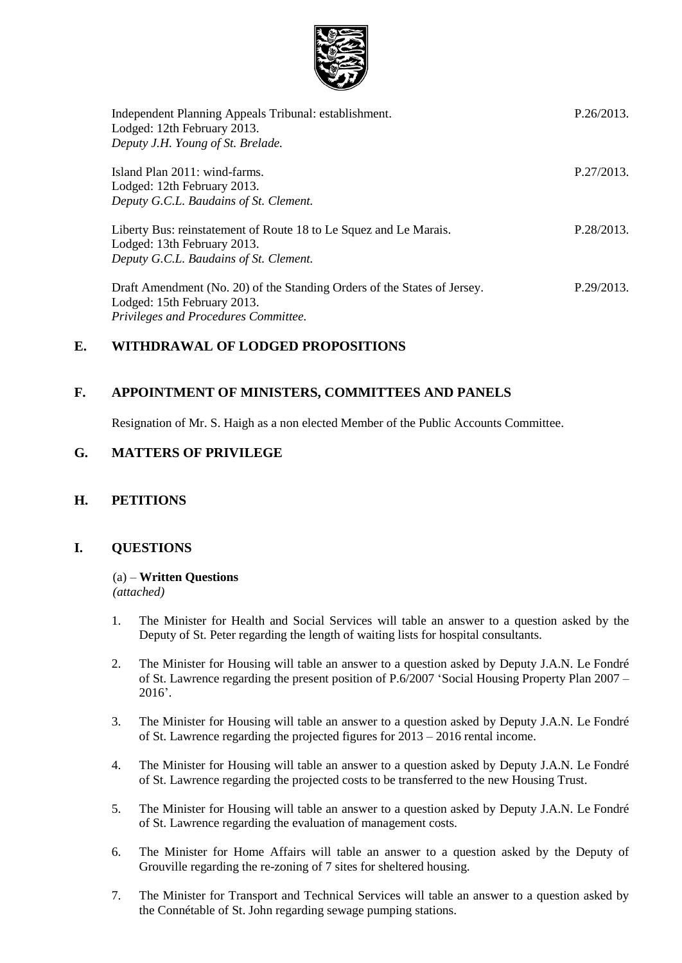

| Independent Planning Appeals Tribunal: establishment.<br>Lodged: 12th February 2013.<br>Deputy J.H. Young of St. Brelade.                  | P.26/2013. |
|--------------------------------------------------------------------------------------------------------------------------------------------|------------|
| Island Plan 2011: wind-farms.<br>Lodged: 12th February 2013.<br>Deputy G.C.L. Baudains of St. Clement.                                     | P.27/2013. |
| Liberty Bus: reinstatement of Route 18 to Le Squez and Le Marais.<br>Lodged: 13th February 2013.<br>Deputy G.C.L. Baudains of St. Clement. | P.28/2013. |
| Draft Amendment (No. 20) of the Standing Orders of the States of Jersey.<br>Lodged: 15th February 2013.                                    | P.29/2013. |

*Privileges and Procedures Committee.*

# **E. WITHDRAWAL OF LODGED PROPOSITIONS**

# **F. APPOINTMENT OF MINISTERS, COMMITTEES AND PANELS**

Resignation of Mr. S. Haigh as a non elected Member of the Public Accounts Committee.

## **G. MATTERS OF PRIVILEGE**

## **H. PETITIONS**

## **I. QUESTIONS**

# (a) – **Written Questions**

*(attached)*

- 1. The Minister for Health and Social Services will table an answer to a question asked by the Deputy of St. Peter regarding the length of waiting lists for hospital consultants.
- 2. The Minister for Housing will table an answer to a question asked by Deputy J.A.N. Le Fondré of St. Lawrence regarding the present position of P.6/2007 'Social Housing Property Plan 2007 – 2016'.
- 3. The Minister for Housing will table an answer to a question asked by Deputy J.A.N. Le Fondré of St. Lawrence regarding the projected figures for 2013 – 2016 rental income.
- 4. The Minister for Housing will table an answer to a question asked by Deputy J.A.N. Le Fondré of St. Lawrence regarding the projected costs to be transferred to the new Housing Trust.
- 5. The Minister for Housing will table an answer to a question asked by Deputy J.A.N. Le Fondré of St. Lawrence regarding the evaluation of management costs.
- 6. The Minister for Home Affairs will table an answer to a question asked by the Deputy of Grouville regarding the re-zoning of 7 sites for sheltered housing.
- 7. The Minister for Transport and Technical Services will table an answer to a question asked by the Connétable of St. John regarding sewage pumping stations.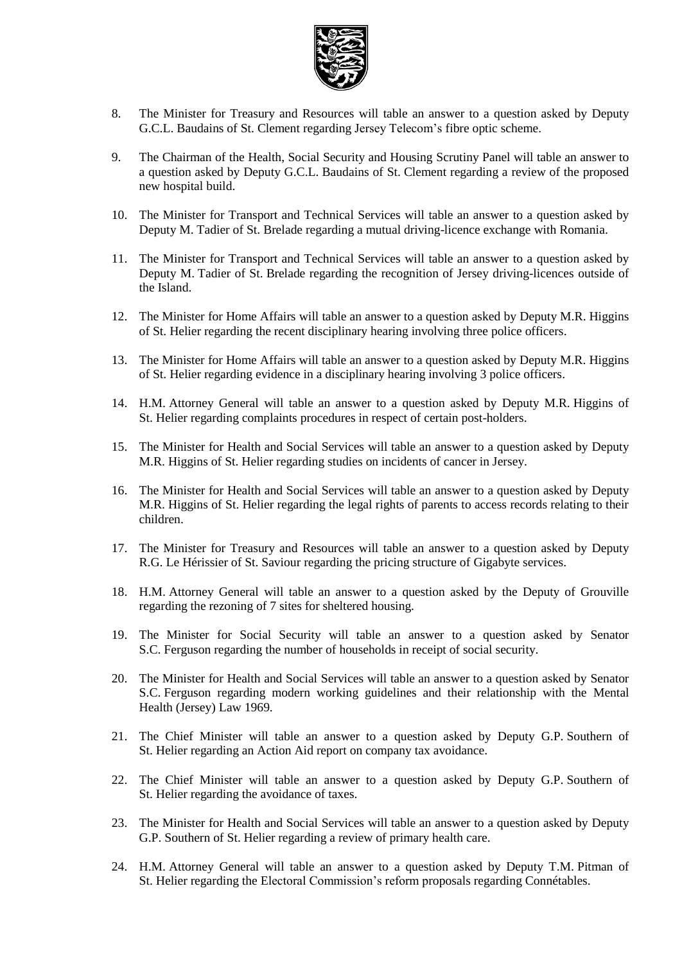

- 8. The Minister for Treasury and Resources will table an answer to a question asked by Deputy G.C.L. Baudains of St. Clement regarding Jersey Telecom's fibre optic scheme.
- 9. The Chairman of the Health, Social Security and Housing Scrutiny Panel will table an answer to a question asked by Deputy G.C.L. Baudains of St. Clement regarding a review of the proposed new hospital build.
- 10. The Minister for Transport and Technical Services will table an answer to a question asked by Deputy M. Tadier of St. Brelade regarding a mutual driving-licence exchange with Romania.
- 11. The Minister for Transport and Technical Services will table an answer to a question asked by Deputy M. Tadier of St. Brelade regarding the recognition of Jersey driving-licences outside of the Island.
- 12. The Minister for Home Affairs will table an answer to a question asked by Deputy M.R. Higgins of St. Helier regarding the recent disciplinary hearing involving three police officers.
- 13. The Minister for Home Affairs will table an answer to a question asked by Deputy M.R. Higgins of St. Helier regarding evidence in a disciplinary hearing involving 3 police officers.
- 14. H.M. Attorney General will table an answer to a question asked by Deputy M.R. Higgins of St. Helier regarding complaints procedures in respect of certain post-holders.
- 15. The Minister for Health and Social Services will table an answer to a question asked by Deputy M.R. Higgins of St. Helier regarding studies on incidents of cancer in Jersey.
- 16. The Minister for Health and Social Services will table an answer to a question asked by Deputy M.R. Higgins of St. Helier regarding the legal rights of parents to access records relating to their children.
- 17. The Minister for Treasury and Resources will table an answer to a question asked by Deputy R.G. Le Hérissier of St. Saviour regarding the pricing structure of Gigabyte services.
- 18. H.M. Attorney General will table an answer to a question asked by the Deputy of Grouville regarding the rezoning of 7 sites for sheltered housing.
- 19. The Minister for Social Security will table an answer to a question asked by Senator S.C. Ferguson regarding the number of households in receipt of social security.
- 20. The Minister for Health and Social Services will table an answer to a question asked by Senator S.C. Ferguson regarding modern working guidelines and their relationship with the Mental Health (Jersey) Law 1969.
- 21. The Chief Minister will table an answer to a question asked by Deputy G.P. Southern of St. Helier regarding an Action Aid report on company tax avoidance.
- 22. The Chief Minister will table an answer to a question asked by Deputy G.P. Southern of St. Helier regarding the avoidance of taxes.
- 23. The Minister for Health and Social Services will table an answer to a question asked by Deputy G.P. Southern of St. Helier regarding a review of primary health care.
- 24. H.M. Attorney General will table an answer to a question asked by Deputy T.M. Pitman of St. Helier regarding the Electoral Commission's reform proposals regarding Connétables.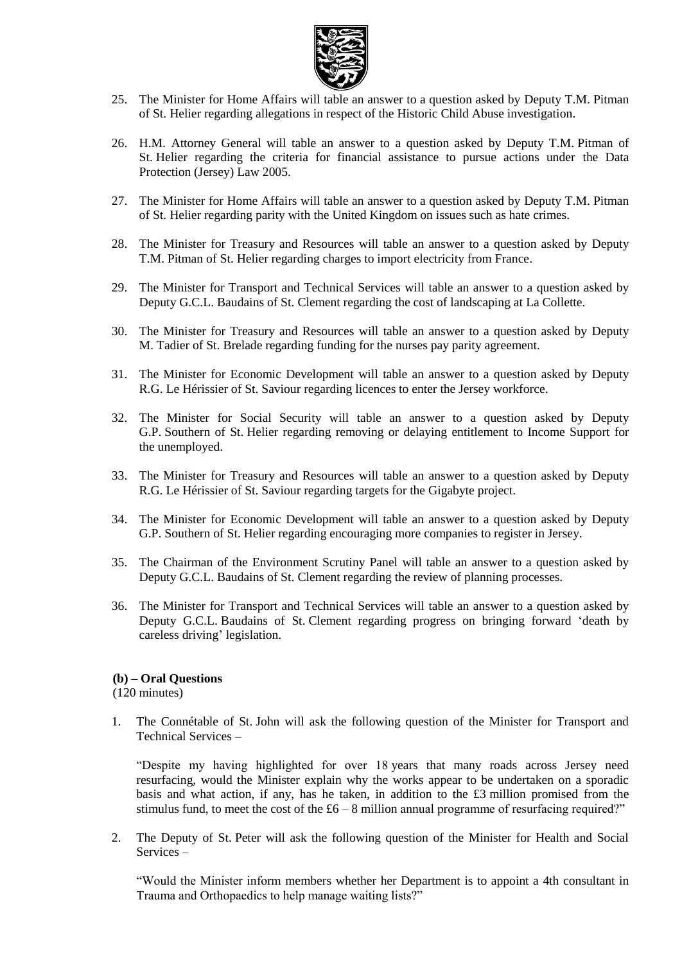

- 25. The Minister for Home Affairs will table an answer to a question asked by Deputy T.M. Pitman of St. Helier regarding allegations in respect of the Historic Child Abuse investigation.
- 26. H.M. Attorney General will table an answer to a question asked by Deputy T.M. Pitman of St. Helier regarding the criteria for financial assistance to pursue actions under the Data Protection (Jersey) Law 2005.
- 27. The Minister for Home Affairs will table an answer to a question asked by Deputy T.M. Pitman of St. Helier regarding parity with the United Kingdom on issues such as hate crimes.
- 28. The Minister for Treasury and Resources will table an answer to a question asked by Deputy T.M. Pitman of St. Helier regarding charges to import electricity from France.
- 29. The Minister for Transport and Technical Services will table an answer to a question asked by Deputy G.C.L. Baudains of St. Clement regarding the cost of landscaping at La Collette.
- 30. The Minister for Treasury and Resources will table an answer to a question asked by Deputy M. Tadier of St. Brelade regarding funding for the nurses pay parity agreement.
- 31. The Minister for Economic Development will table an answer to a question asked by Deputy R.G. Le Hérissier of St. Saviour regarding licences to enter the Jersey workforce.
- 32. The Minister for Social Security will table an answer to a question asked by Deputy G.P. Southern of St. Helier regarding removing or delaying entitlement to Income Support for the unemployed.
- 33. The Minister for Treasury and Resources will table an answer to a question asked by Deputy R.G. Le Hérissier of St. Saviour regarding targets for the Gigabyte project.
- 34. The Minister for Economic Development will table an answer to a question asked by Deputy G.P. Southern of St. Helier regarding encouraging more companies to register in Jersey.
- 35. The Chairman of the Environment Scrutiny Panel will table an answer to a question asked by Deputy G.C.L. Baudains of St. Clement regarding the review of planning processes.
- 36. The Minister for Transport and Technical Services will table an answer to a question asked by Deputy G.C.L. Baudains of St. Clement regarding progress on bringing forward 'death by careless driving' legislation.

#### **(b) – Oral Questions**

(120 minutes)

1. The Connétable of St. John will ask the following question of the Minister for Transport and Technical Services –

"Despite my having highlighted for over 18 years that many roads across Jersey need resurfacing, would the Minister explain why the works appear to be undertaken on a sporadic basis and what action, if any, has he taken, in addition to the £3 million promised from the stimulus fund, to meet the cost of the  $\pounds 6 - 8$  million annual programme of resurfacing required?"

2. The Deputy of St. Peter will ask the following question of the Minister for Health and Social Services –

"Would the Minister inform members whether her Department is to appoint a 4th consultant in Trauma and Orthopaedics to help manage waiting lists?"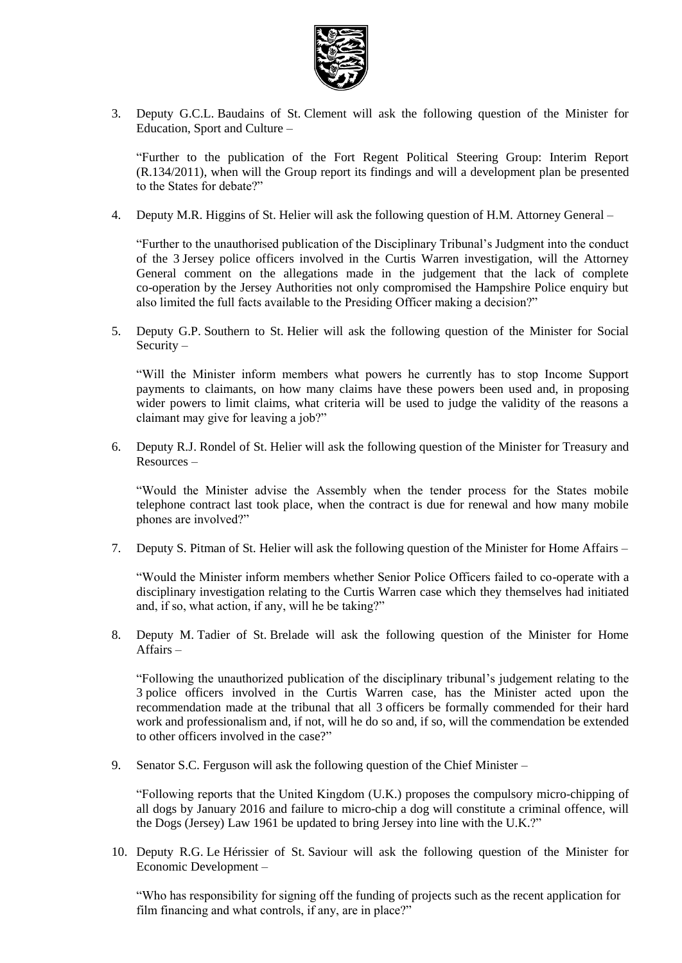

3. Deputy G.C.L. Baudains of St. Clement will ask the following question of the Minister for Education, Sport and Culture –

"Further to the publication of the Fort Regent Political Steering Group: Interim Report (R.134/2011), when will the Group report its findings and will a development plan be presented to the States for debate?"

4. Deputy M.R. Higgins of St. Helier will ask the following question of H.M. Attorney General –

"Further to the unauthorised publication of the Disciplinary Tribunal's Judgment into the conduct of the 3 Jersey police officers involved in the Curtis Warren investigation, will the Attorney General comment on the allegations made in the judgement that the lack of complete co-operation by the Jersey Authorities not only compromised the Hampshire Police enquiry but also limited the full facts available to the Presiding Officer making a decision?"

5. Deputy G.P. Southern to St. Helier will ask the following question of the Minister for Social Security –

"Will the Minister inform members what powers he currently has to stop Income Support payments to claimants, on how many claims have these powers been used and, in proposing wider powers to limit claims, what criteria will be used to judge the validity of the reasons a claimant may give for leaving a job?"

6. Deputy R.J. Rondel of St. Helier will ask the following question of the Minister for Treasury and Resources –

"Would the Minister advise the Assembly when the tender process for the States mobile telephone contract last took place, when the contract is due for renewal and how many mobile phones are involved?"

7. Deputy S. Pitman of St. Helier will ask the following question of the Minister for Home Affairs –

"Would the Minister inform members whether Senior Police Officers failed to co-operate with a disciplinary investigation relating to the Curtis Warren case which they themselves had initiated and, if so, what action, if any, will he be taking?"

8. Deputy M. Tadier of St. Brelade will ask the following question of the Minister for Home Affairs –

"Following the unauthorized publication of the disciplinary tribunal's judgement relating to the 3 police officers involved in the Curtis Warren case, has the Minister acted upon the recommendation made at the tribunal that all 3 officers be formally commended for their hard work and professionalism and, if not, will he do so and, if so, will the commendation be extended to other officers involved in the case?"

9. Senator S.C. Ferguson will ask the following question of the Chief Minister –

"Following reports that the United Kingdom (U.K.) proposes the compulsory micro-chipping of all dogs by January 2016 and failure to micro-chip a dog will constitute a criminal offence, will the Dogs (Jersey) Law 1961 be updated to bring Jersey into line with the U.K.?"

10. Deputy R.G. Le Hérissier of St. Saviour will ask the following question of the Minister for Economic Development –

"Who has responsibility for signing off the funding of projects such as the recent application for film financing and what controls, if any, are in place?"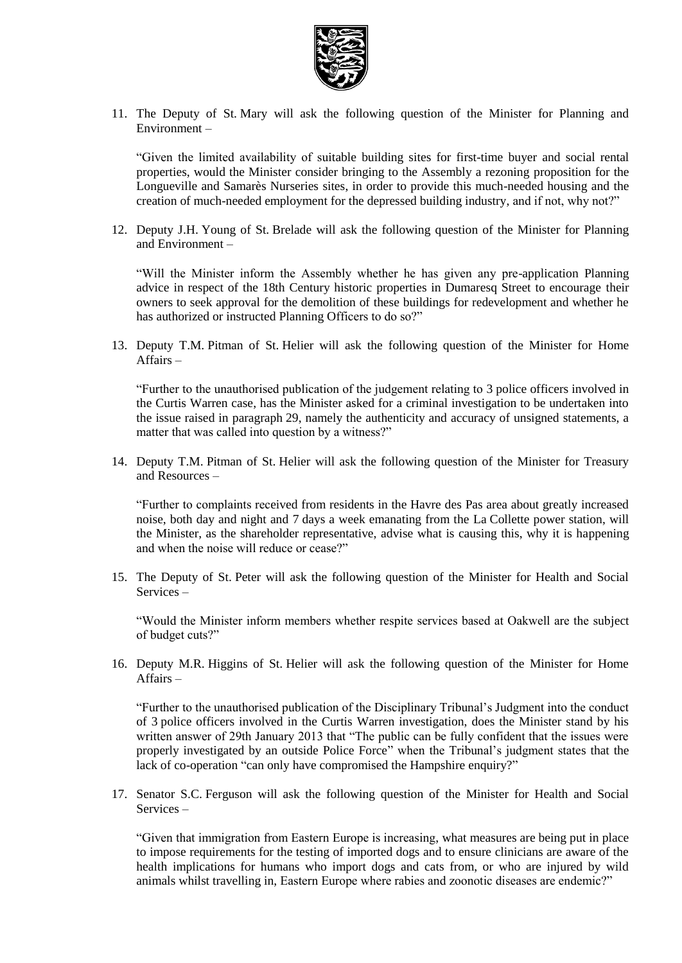

11. The Deputy of St. Mary will ask the following question of the Minister for Planning and Environment –

"Given the limited availability of suitable building sites for first-time buyer and social rental properties, would the Minister consider bringing to the Assembly a rezoning proposition for the Longueville and Samarès Nurseries sites, in order to provide this much-needed housing and the creation of much-needed employment for the depressed building industry, and if not, why not?"

12. Deputy J.H. Young of St. Brelade will ask the following question of the Minister for Planning and Environment –

"Will the Minister inform the Assembly whether he has given any pre-application Planning advice in respect of the 18th Century historic properties in Dumaresq Street to encourage their owners to seek approval for the demolition of these buildings for redevelopment and whether he has authorized or instructed Planning Officers to do so?"

13. Deputy T.M. Pitman of St. Helier will ask the following question of the Minister for Home Affairs –

"Further to the unauthorised publication of the judgement relating to 3 police officers involved in the Curtis Warren case, has the Minister asked for a criminal investigation to be undertaken into the issue raised in paragraph 29, namely the authenticity and accuracy of unsigned statements, a matter that was called into question by a witness?"

14. Deputy T.M. Pitman of St. Helier will ask the following question of the Minister for Treasury and Resources –

"Further to complaints received from residents in the Havre des Pas area about greatly increased noise, both day and night and 7 days a week emanating from the La Collette power station, will the Minister, as the shareholder representative, advise what is causing this, why it is happening and when the noise will reduce or cease?"

15. The Deputy of St. Peter will ask the following question of the Minister for Health and Social Services –

"Would the Minister inform members whether respite services based at Oakwell are the subject of budget cuts?"

16. Deputy M.R. Higgins of St. Helier will ask the following question of the Minister for Home Affairs –

"Further to the unauthorised publication of the Disciplinary Tribunal's Judgment into the conduct of 3 police officers involved in the Curtis Warren investigation, does the Minister stand by his written answer of 29th January 2013 that "The public can be fully confident that the issues were properly investigated by an outside Police Force" when the Tribunal's judgment states that the lack of co-operation "can only have compromised the Hampshire enquiry?"

17. Senator S.C. Ferguson will ask the following question of the Minister for Health and Social Services –

"Given that immigration from Eastern Europe is increasing, what measures are being put in place to impose requirements for the testing of imported dogs and to ensure clinicians are aware of the health implications for humans who import dogs and cats from, or who are injured by wild animals whilst travelling in, Eastern Europe where rabies and zoonotic diseases are endemic?"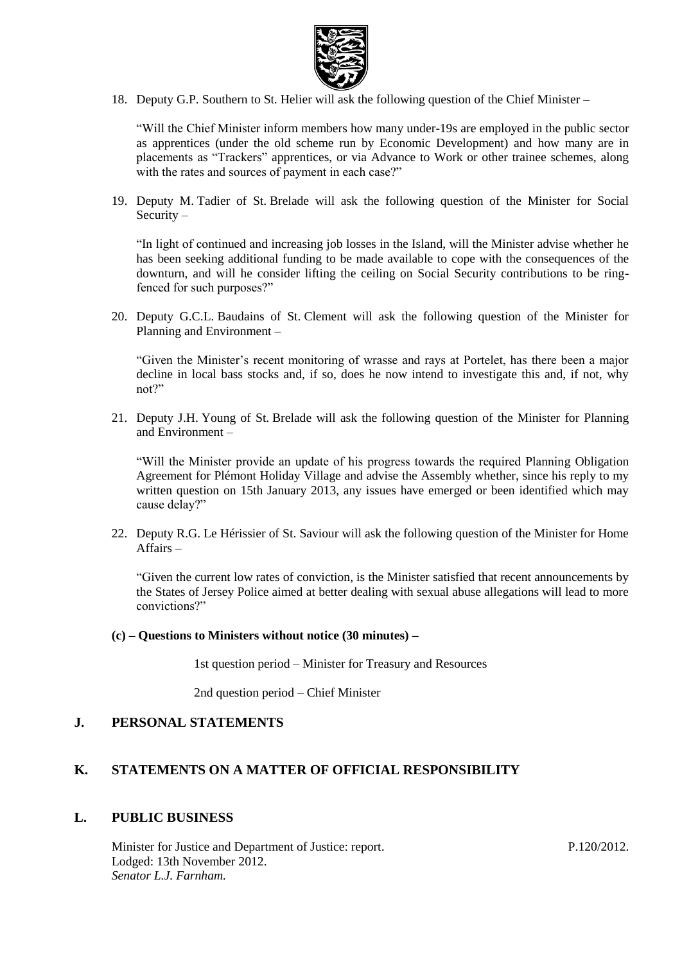

18. Deputy G.P. Southern to St. Helier will ask the following question of the Chief Minister –

"Will the Chief Minister inform members how many under-19s are employed in the public sector as apprentices (under the old scheme run by Economic Development) and how many are in placements as "Trackers" apprentices, or via Advance to Work or other trainee schemes, along with the rates and sources of payment in each case?"

19. Deputy M. Tadier of St. Brelade will ask the following question of the Minister for Social Security –

"In light of continued and increasing job losses in the Island, will the Minister advise whether he has been seeking additional funding to be made available to cope with the consequences of the downturn, and will he consider lifting the ceiling on Social Security contributions to be ringfenced for such purposes?"

20. Deputy G.C.L. Baudains of St. Clement will ask the following question of the Minister for Planning and Environment –

"Given the Minister's recent monitoring of wrasse and rays at Portelet, has there been a major decline in local bass stocks and, if so, does he now intend to investigate this and, if not, why not?"

21. Deputy J.H. Young of St. Brelade will ask the following question of the Minister for Planning and Environment –

"Will the Minister provide an update of his progress towards the required Planning Obligation Agreement for Plémont Holiday Village and advise the Assembly whether, since his reply to my written question on 15th January 2013, any issues have emerged or been identified which may cause delay?"

22. Deputy R.G. Le Hérissier of St. Saviour will ask the following question of the Minister for Home Affairs –

"Given the current low rates of conviction, is the Minister satisfied that recent announcements by the States of Jersey Police aimed at better dealing with sexual abuse allegations will lead to more convictions?"

#### **(c) – Questions to Ministers without notice (30 minutes) –**

1st question period – Minister for Treasury and Resources

2nd question period – Chief Minister

## **J. PERSONAL STATEMENTS**

## **K. STATEMENTS ON A MATTER OF OFFICIAL RESPONSIBILITY**

#### **L. PUBLIC BUSINESS**

Minister for Justice and Department of Justice: report. Lodged: 13th November 2012. *Senator L.J. Farnham.*

P.120/2012.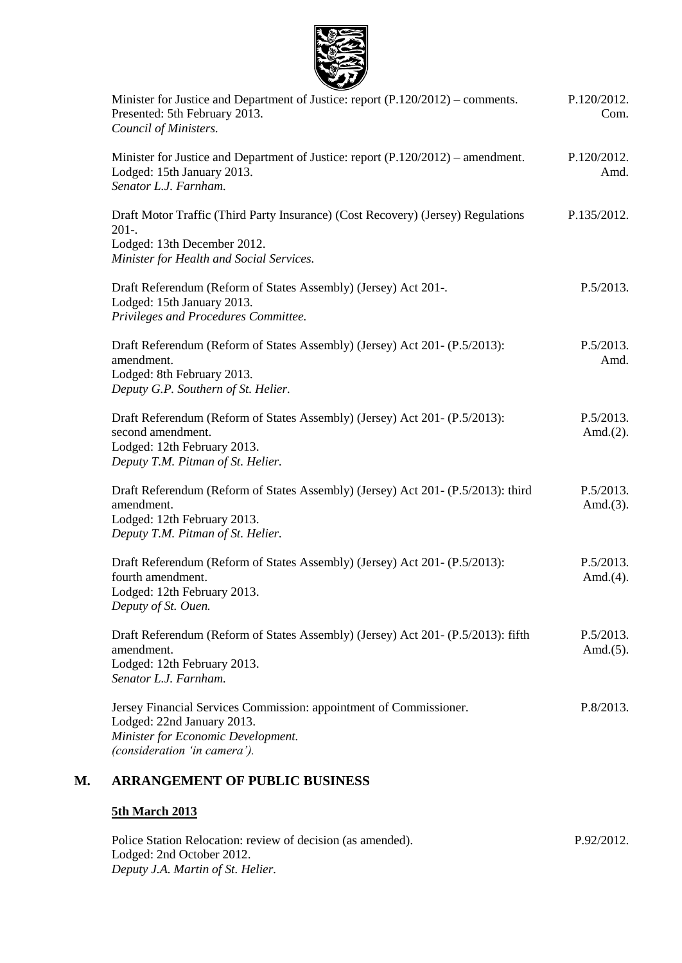

| $\sim$                                                                                                                                                                 |                           |
|------------------------------------------------------------------------------------------------------------------------------------------------------------------------|---------------------------|
| Minister for Justice and Department of Justice: report $(P.120/2012)$ – comments.<br>Presented: 5th February 2013.<br>Council of Ministers.                            | P.120/2012.<br>Com.       |
| Minister for Justice and Department of Justice: report (P.120/2012) – amendment.<br>Lodged: 15th January 2013.<br>Senator L.J. Farnham.                                | P.120/2012.<br>Amd.       |
| Draft Motor Traffic (Third Party Insurance) (Cost Recovery) (Jersey) Regulations<br>$201 -$                                                                            | P.135/2012.               |
| Lodged: 13th December 2012.<br>Minister for Health and Social Services.                                                                                                |                           |
| Draft Referendum (Reform of States Assembly) (Jersey) Act 201-.<br>Lodged: 15th January 2013.<br>Privileges and Procedures Committee.                                  | P.5/2013.                 |
| Draft Referendum (Reform of States Assembly) (Jersey) Act 201- (P.5/2013):<br>amendment.<br>Lodged: 8th February 2013.<br>Deputy G.P. Southern of St. Helier.          | P.5/2013.<br>Amd.         |
| Draft Referendum (Reform of States Assembly) (Jersey) Act 201- (P.5/2013):<br>second amendment.<br>Lodged: 12th February 2013.<br>Deputy T.M. Pitman of St. Helier.    | P.5/2013.<br>Amd. $(2)$ . |
| Draft Referendum (Reform of States Assembly) (Jersey) Act 201- (P.5/2013): third<br>amendment.<br>Lodged: 12th February 2013.<br>Deputy T.M. Pitman of St. Helier.     | P.5/2013.<br>Amd. $(3)$ . |
| Draft Referendum (Reform of States Assembly) (Jersey) Act 201- (P.5/2013):<br>fourth amendment.<br>Lodged: 12th February 2013.<br>Deputy of St. Ouen.                  | P.5/2013.<br>Amd. $(4)$ . |
| Draft Referendum (Reform of States Assembly) (Jersey) Act 201- (P.5/2013): fifth<br>amendment.<br>Lodged: 12th February 2013.<br>Senator L.J. Farnham.                 | P.5/2013.<br>Amd. $(5)$ . |
| Jersey Financial Services Commission: appointment of Commissioner.<br>Lodged: 22nd January 2013.<br>Minister for Economic Development.<br>(consideration 'in camera'). | P.8/2013.                 |
| <b>ARRANGEMENT OF PHRLIC RHSINESS</b>                                                                                                                                  |                           |

# **M. ARRANGEMENT OF PUBLIC BUSINESS**

# **5th March 2013**

| Police Station Relocation: review of decision (as amended). | P.92/2012. |
|-------------------------------------------------------------|------------|
| Lodged: 2nd October 2012.                                   |            |
| Deputy J.A. Martin of St. Helier.                           |            |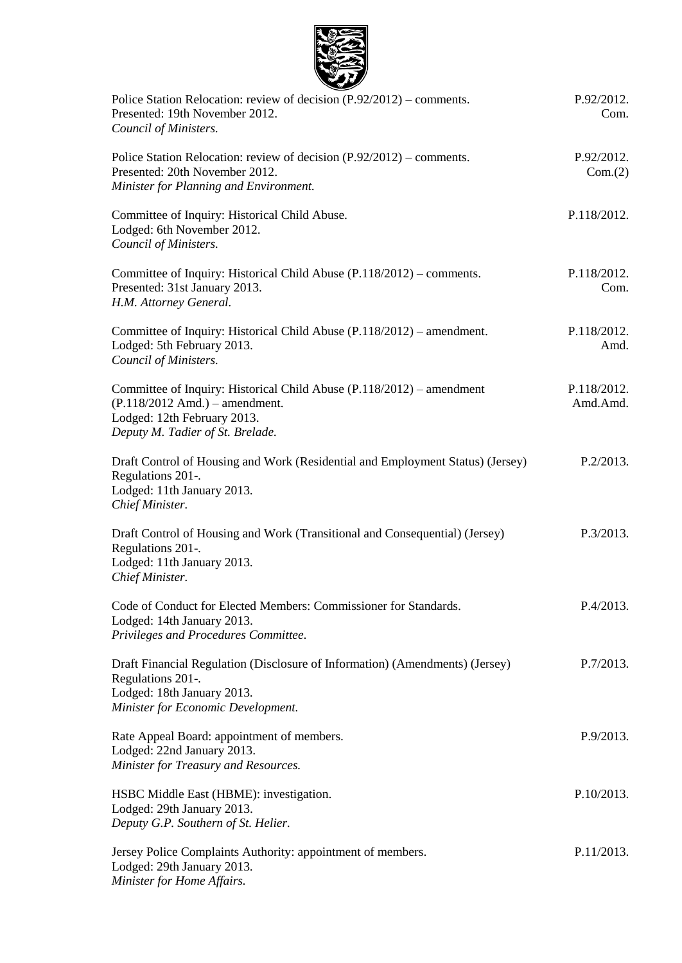| Police Station Relocation: review of decision (P.92/2012) – comments.<br>Presented: 19th November 2012.<br>Council of Ministers.                                             | P.92/2012.<br>Com.      |
|------------------------------------------------------------------------------------------------------------------------------------------------------------------------------|-------------------------|
| Police Station Relocation: review of decision (P.92/2012) – comments.<br>Presented: 20th November 2012.<br>Minister for Planning and Environment.                            | P.92/2012.<br>Com.(2)   |
| Committee of Inquiry: Historical Child Abuse.<br>Lodged: 6th November 2012.<br>Council of Ministers.                                                                         | P.118/2012.             |
| Committee of Inquiry: Historical Child Abuse (P.118/2012) – comments.<br>Presented: 31st January 2013.<br>H.M. Attorney General.                                             | P.118/2012.<br>Com.     |
| Committee of Inquiry: Historical Child Abuse (P.118/2012) – amendment.<br>Lodged: 5th February 2013.<br>Council of Ministers.                                                | P.118/2012.<br>Amd.     |
| Committee of Inquiry: Historical Child Abuse (P.118/2012) – amendment<br>$(P.118/2012$ Amd.) – amendment.<br>Lodged: 12th February 2013.<br>Deputy M. Tadier of St. Brelade. | P.118/2012.<br>Amd.Amd. |
| Draft Control of Housing and Work (Residential and Employment Status) (Jersey)<br>Regulations 201-.<br>Lodged: 11th January 2013.<br>Chief Minister.                         | $P.2/2013$ .            |
| Draft Control of Housing and Work (Transitional and Consequential) (Jersey)<br>Regulations 201-.<br>Lodged: 11th January 2013.<br>Chief Minister.                            | P.3/2013.               |
| Code of Conduct for Elected Members: Commissioner for Standards.<br>Lodged: 14th January 2013.<br>Privileges and Procedures Committee.                                       | $P.4/2013$ .            |
| Draft Financial Regulation (Disclosure of Information) (Amendments) (Jersey)<br>Regulations 201-.<br>Lodged: 18th January 2013.<br>Minister for Economic Development.        | $P.7/2013$ .            |
| Rate Appeal Board: appointment of members.<br>Lodged: 22nd January 2013.<br>Minister for Treasury and Resources.                                                             | P.9/2013.               |
| HSBC Middle East (HBME): investigation.<br>Lodged: 29th January 2013.<br>Deputy G.P. Southern of St. Helier.                                                                 | P.10/2013.              |
| Jersey Police Complaints Authority: appointment of members.<br>Lodged: 29th January 2013.<br>Minister for Home Affairs.                                                      | P.11/2013.              |

MAG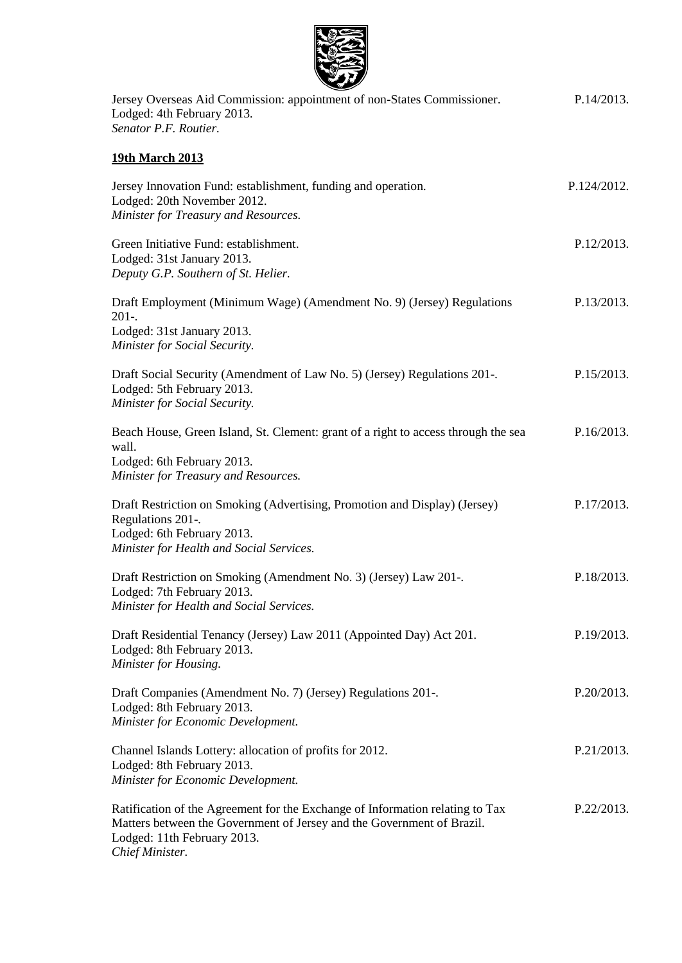

| مستعلمته                                                                                                                                                                                                  |             |
|-----------------------------------------------------------------------------------------------------------------------------------------------------------------------------------------------------------|-------------|
| Jersey Overseas Aid Commission: appointment of non-States Commissioner.<br>Lodged: 4th February 2013.<br>Senator P.F. Routier.                                                                            | P.14/2013.  |
| <b>19th March 2013</b>                                                                                                                                                                                    |             |
| Jersey Innovation Fund: establishment, funding and operation.<br>Lodged: 20th November 2012.<br>Minister for Treasury and Resources.                                                                      | P.124/2012. |
| Green Initiative Fund: establishment.<br>Lodged: 31st January 2013.<br>Deputy G.P. Southern of St. Helier.                                                                                                | P.12/2013.  |
| Draft Employment (Minimum Wage) (Amendment No. 9) (Jersey) Regulations<br>$201 -$<br>Lodged: 31st January 2013.<br>Minister for Social Security.                                                          | P.13/2013.  |
| Draft Social Security (Amendment of Law No. 5) (Jersey) Regulations 201-.<br>Lodged: 5th February 2013.<br>Minister for Social Security.                                                                  | P.15/2013.  |
| Beach House, Green Island, St. Clement: grant of a right to access through the sea<br>wall.<br>Lodged: 6th February 2013.<br>Minister for Treasury and Resources.                                         | P.16/2013.  |
| Draft Restriction on Smoking (Advertising, Promotion and Display) (Jersey)<br>Regulations 201-.<br>Lodged: 6th February 2013.<br>Minister for Health and Social Services.                                 | P.17/2013.  |
| Draft Restriction on Smoking (Amendment No. 3) (Jersey) Law 201-.<br>Lodged: 7th February 2013.<br>Minister for Health and Social Services.                                                               | P.18/2013.  |
| Draft Residential Tenancy (Jersey) Law 2011 (Appointed Day) Act 201.<br>Lodged: 8th February 2013.<br>Minister for Housing.                                                                               | P.19/2013.  |
| Draft Companies (Amendment No. 7) (Jersey) Regulations 201-.<br>Lodged: 8th February 2013.<br>Minister for Economic Development.                                                                          | P.20/2013.  |
| Channel Islands Lottery: allocation of profits for 2012.<br>Lodged: 8th February 2013.<br>Minister for Economic Development.                                                                              | P.21/2013.  |
| Ratification of the Agreement for the Exchange of Information relating to Tax<br>Matters between the Government of Jersey and the Government of Brazil.<br>Lodged: 11th February 2013.<br>Chief Minister. | P.22/2013.  |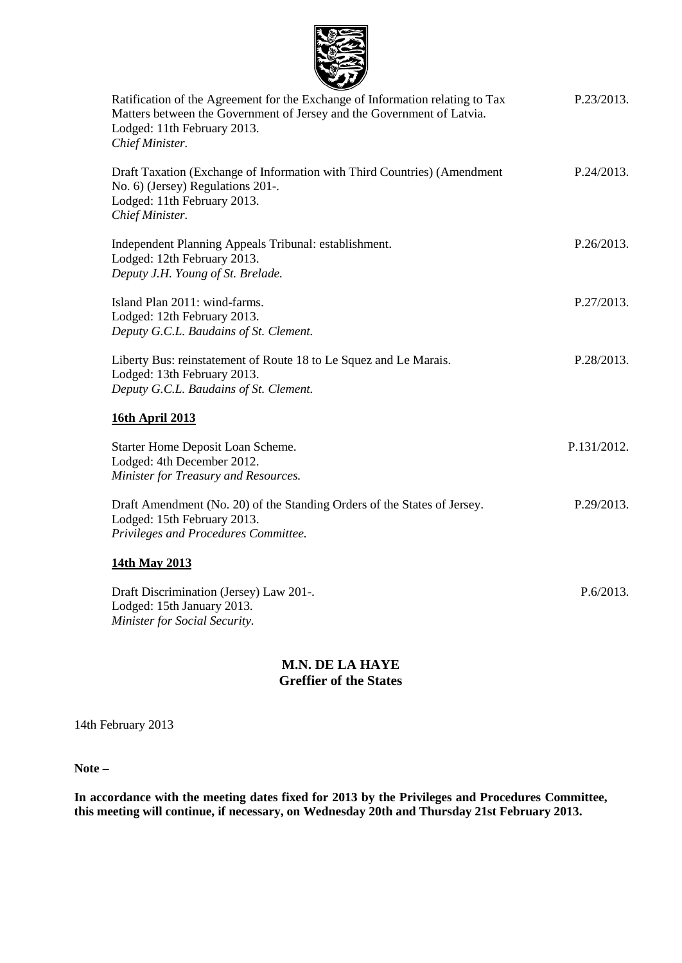

| Ratification of the Agreement for the Exchange of Information relating to Tax<br>Matters between the Government of Jersey and the Government of Latvia.<br>Lodged: 11th February 2013.<br>Chief Minister. | P.23/2013.  |
|-----------------------------------------------------------------------------------------------------------------------------------------------------------------------------------------------------------|-------------|
| Draft Taxation (Exchange of Information with Third Countries) (Amendment<br>No. 6) (Jersey) Regulations 201-.<br>Lodged: 11th February 2013.<br>Chief Minister.                                           | P.24/2013.  |
| Independent Planning Appeals Tribunal: establishment.<br>Lodged: 12th February 2013.<br>Deputy J.H. Young of St. Brelade.                                                                                 | P.26/2013.  |
| Island Plan 2011: wind-farms.<br>Lodged: 12th February 2013.<br>Deputy G.C.L. Baudains of St. Clement.                                                                                                    | P.27/2013.  |
| Liberty Bus: reinstatement of Route 18 to Le Squez and Le Marais.<br>Lodged: 13th February 2013.<br>Deputy G.C.L. Baudains of St. Clement.                                                                | P.28/2013.  |
| <b>16th April 2013</b>                                                                                                                                                                                    |             |
| Starter Home Deposit Loan Scheme.<br>Lodged: 4th December 2012.<br>Minister for Treasury and Resources.                                                                                                   | P.131/2012. |
| Draft Amendment (No. 20) of the Standing Orders of the States of Jersey.<br>Lodged: 15th February 2013.<br>Privileges and Procedures Committee.                                                           | P.29/2013.  |
| 14th May 2013                                                                                                                                                                                             |             |
| Draft Discrimination (Jersey) Law 201-.<br>Lodged: 15th January 2013.<br>Minister for Social Security.                                                                                                    | P.6/2013.   |

## **M.N. DE LA HAYE Greffier of the States**

14th February 2013

**Note –**

**In accordance with the meeting dates fixed for 2013 by the Privileges and Procedures Committee, this meeting will continue, if necessary, on Wednesday 20th and Thursday 21st February 2013.**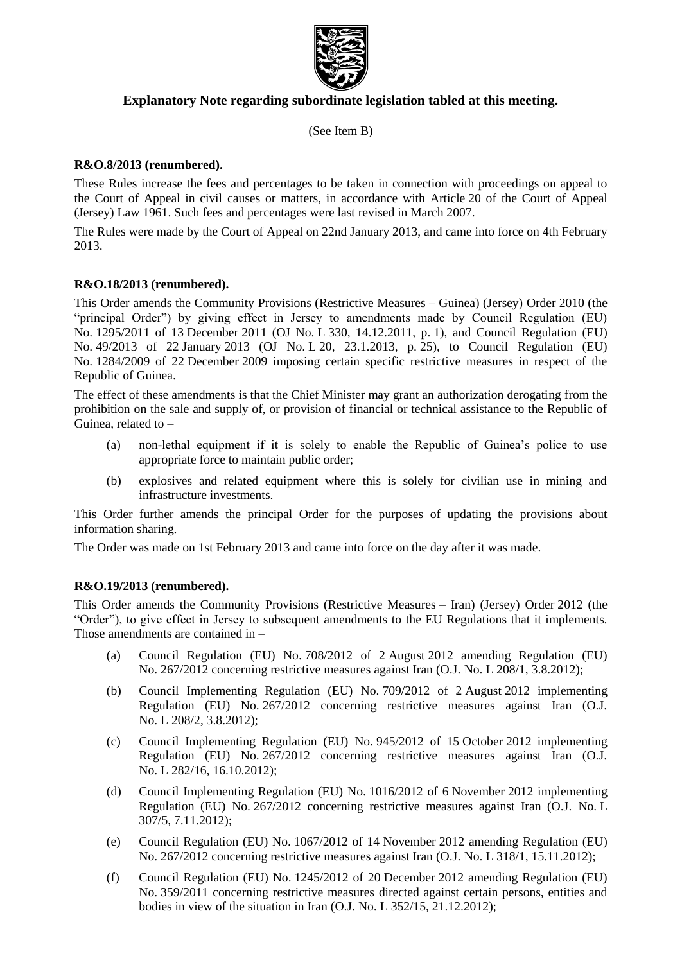

## **Explanatory Note regarding subordinate legislation tabled at this meeting.**

(See Item B)

#### **R&O.8/2013 (renumbered).**

These Rules increase the fees and percentages to be taken in connection with proceedings on appeal to the Court of Appeal in civil causes or matters, in accordance with Article 20 of the Court of Appeal (Jersey) Law 1961. Such fees and percentages were last revised in March 2007.

The Rules were made by the Court of Appeal on 22nd January 2013, and came into force on 4th February 2013.

#### **R&O.18/2013 (renumbered).**

This Order amends the Community Provisions (Restrictive Measures – Guinea) (Jersey) Order 2010 (the "principal Order") by giving effect in Jersey to amendments made by Council Regulation (EU) No. 1295/2011 of 13 December 2011 (OJ No. L 330, 14.12.2011, p. 1), and Council Regulation (EU) No. 49/2013 of 22 January 2013 (OJ No. L 20, 23.1.2013, p. 25), to Council Regulation (EU) No. 1284/2009 of 22 December 2009 imposing certain specific restrictive measures in respect of the Republic of Guinea.

The effect of these amendments is that the Chief Minister may grant an authorization derogating from the prohibition on the sale and supply of, or provision of financial or technical assistance to the Republic of Guinea, related to –

- (a) non-lethal equipment if it is solely to enable the Republic of Guinea's police to use appropriate force to maintain public order;
- (b) explosives and related equipment where this is solely for civilian use in mining and infrastructure investments.

This Order further amends the principal Order for the purposes of updating the provisions about information sharing.

The Order was made on 1st February 2013 and came into force on the day after it was made.

#### **R&O.19/2013 (renumbered).**

This Order amends the Community Provisions (Restrictive Measures – Iran) (Jersey) Order 2012 (the "Order"), to give effect in Jersey to subsequent amendments to the EU Regulations that it implements. Those amendments are contained in –

- (a) Council Regulation (EU) No. 708/2012 of 2 August 2012 amending Regulation (EU) No. 267/2012 concerning restrictive measures against Iran (O.J. No. L 208/1, 3.8.2012);
- (b) Council Implementing Regulation (EU) No. 709/2012 of 2 August 2012 implementing Regulation (EU) No. 267/2012 concerning restrictive measures against Iran (O.J. No. L 208/2, 3.8.2012);
- (c) Council Implementing Regulation (EU) No. 945/2012 of 15 October 2012 implementing Regulation (EU) No. 267/2012 concerning restrictive measures against Iran (O.J. No. L 282/16, 16.10.2012);
- (d) Council Implementing Regulation (EU) No. 1016/2012 of 6 November 2012 implementing Regulation (EU) No. 267/2012 concerning restrictive measures against Iran (O.J. No. L 307/5, 7.11.2012);
- (e) Council Regulation (EU) No. 1067/2012 of 14 November 2012 amending Regulation (EU) No. 267/2012 concerning restrictive measures against Iran (O.J. No. L 318/1, 15.11.2012);
- (f) Council Regulation (EU) No. 1245/2012 of 20 December 2012 amending Regulation (EU) No. 359/2011 concerning restrictive measures directed against certain persons, entities and bodies in view of the situation in Iran (O.J. No. L 352/15, 21.12.2012);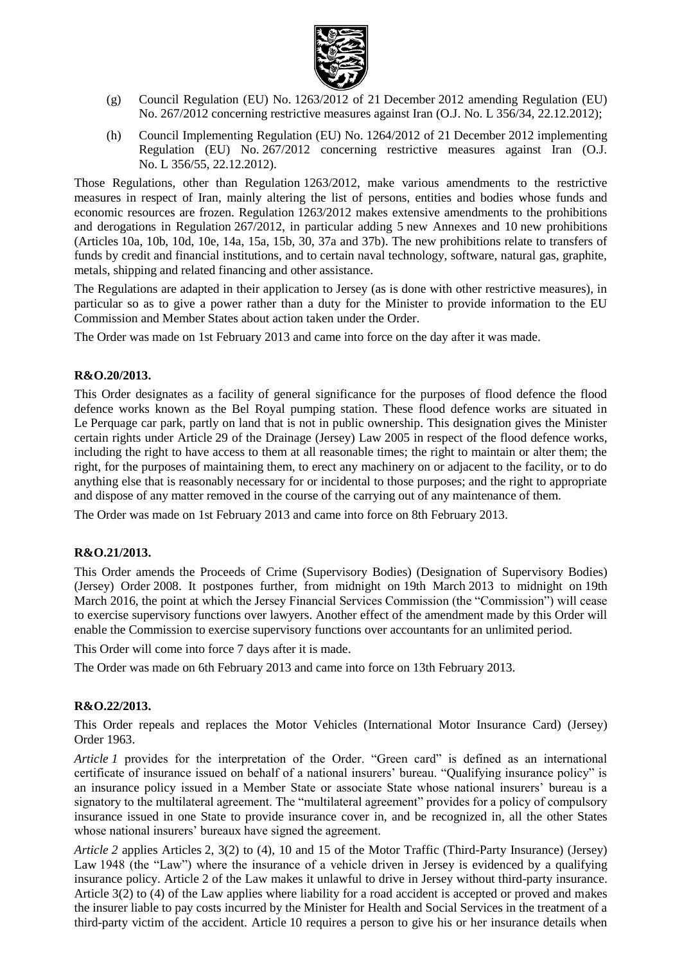

- (g) Council Regulation (EU) No. 1263/2012 of 21 December 2012 amending Regulation (EU) No. 267/2012 concerning restrictive measures against Iran (O.J. No. L 356/34, 22.12.2012);
- (h) Council Implementing Regulation (EU) No. 1264/2012 of 21 December 2012 implementing Regulation (EU) No. 267/2012 concerning restrictive measures against Iran (O.J. No. L 356/55, 22.12.2012).

Those Regulations, other than Regulation 1263/2012, make various amendments to the restrictive measures in respect of Iran, mainly altering the list of persons, entities and bodies whose funds and economic resources are frozen. Regulation 1263/2012 makes extensive amendments to the prohibitions and derogations in Regulation 267/2012, in particular adding 5 new Annexes and 10 new prohibitions (Articles 10a, 10b, 10d, 10e, 14a, 15a, 15b, 30, 37a and 37b). The new prohibitions relate to transfers of funds by credit and financial institutions, and to certain naval technology, software, natural gas, graphite, metals, shipping and related financing and other assistance.

The Regulations are adapted in their application to Jersey (as is done with other restrictive measures), in particular so as to give a power rather than a duty for the Minister to provide information to the EU Commission and Member States about action taken under the Order.

The Order was made on 1st February 2013 and came into force on the day after it was made.

#### **R&O.20/2013.**

This Order designates as a facility of general significance for the purposes of flood defence the flood defence works known as the Bel Royal pumping station. These flood defence works are situated in Le Perquage car park, partly on land that is not in public ownership. This designation gives the Minister certain rights under Article 29 of the Drainage (Jersey) Law 2005 in respect of the flood defence works, including the right to have access to them at all reasonable times; the right to maintain or alter them; the right, for the purposes of maintaining them, to erect any machinery on or adjacent to the facility, or to do anything else that is reasonably necessary for or incidental to those purposes; and the right to appropriate and dispose of any matter removed in the course of the carrying out of any maintenance of them.

The Order was made on 1st February 2013 and came into force on 8th February 2013.

#### **R&O.21/2013.**

This Order amends the Proceeds of Crime (Supervisory Bodies) (Designation of Supervisory Bodies) (Jersey) Order 2008. It postpones further, from midnight on 19th March 2013 to midnight on 19th March 2016, the point at which the Jersey Financial Services Commission (the "Commission") will cease to exercise supervisory functions over lawyers. Another effect of the amendment made by this Order will enable the Commission to exercise supervisory functions over accountants for an unlimited period.

This Order will come into force 7 days after it is made.

The Order was made on 6th February 2013 and came into force on 13th February 2013.

#### **R&O.22/2013.**

This Order repeals and replaces the Motor Vehicles (International Motor Insurance Card) (Jersey) Order 1963.

*Article 1* provides for the interpretation of the Order. "Green card" is defined as an international certificate of insurance issued on behalf of a national insurers' bureau. "Qualifying insurance policy" is an insurance policy issued in a Member State or associate State whose national insurers' bureau is a signatory to the multilateral agreement. The "multilateral agreement" provides for a policy of compulsory insurance issued in one State to provide insurance cover in, and be recognized in, all the other States whose national insurers' bureaux have signed the agreement.

*Article 2* applies Articles 2, 3(2) to (4), 10 and 15 of the Motor Traffic (Third-Party Insurance) (Jersey) Law 1948 (the "Law") where the insurance of a vehicle driven in Jersey is evidenced by a qualifying insurance policy. Article 2 of the Law makes it unlawful to drive in Jersey without third-party insurance. Article 3(2) to (4) of the Law applies where liability for a road accident is accepted or proved and makes the insurer liable to pay costs incurred by the Minister for Health and Social Services in the treatment of a third-party victim of the accident. Article 10 requires a person to give his or her insurance details when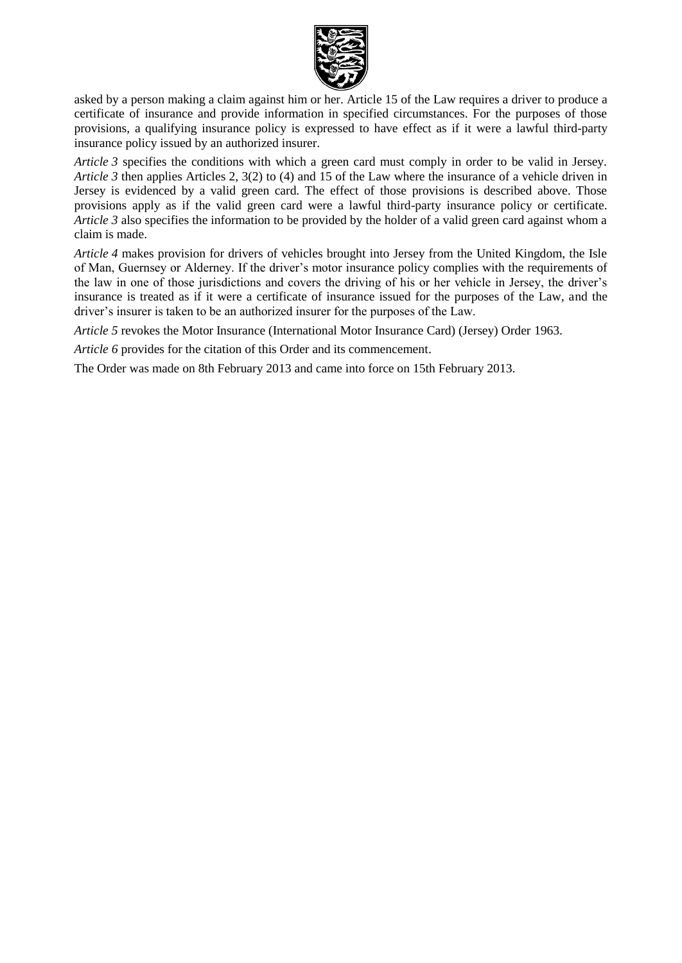

asked by a person making a claim against him or her. Article 15 of the Law requires a driver to produce a certificate of insurance and provide information in specified circumstances. For the purposes of those provisions, a qualifying insurance policy is expressed to have effect as if it were a lawful third-party insurance policy issued by an authorized insurer.

*Article 3* specifies the conditions with which a green card must comply in order to be valid in Jersey. *Article 3* then applies Articles 2, 3(2) to (4) and 15 of the Law where the insurance of a vehicle driven in Jersey is evidenced by a valid green card. The effect of those provisions is described above. Those provisions apply as if the valid green card were a lawful third-party insurance policy or certificate. *Article 3* also specifies the information to be provided by the holder of a valid green card against whom a claim is made.

*Article 4* makes provision for drivers of vehicles brought into Jersey from the United Kingdom, the Isle of Man, Guernsey or Alderney. If the driver's motor insurance policy complies with the requirements of the law in one of those jurisdictions and covers the driving of his or her vehicle in Jersey, the driver's insurance is treated as if it were a certificate of insurance issued for the purposes of the Law, and the driver's insurer is taken to be an authorized insurer for the purposes of the Law.

*Article 5* revokes the Motor Insurance (International Motor Insurance Card) (Jersey) Order 1963.

*Article 6* provides for the citation of this Order and its commencement.

The Order was made on 8th February 2013 and came into force on 15th February 2013.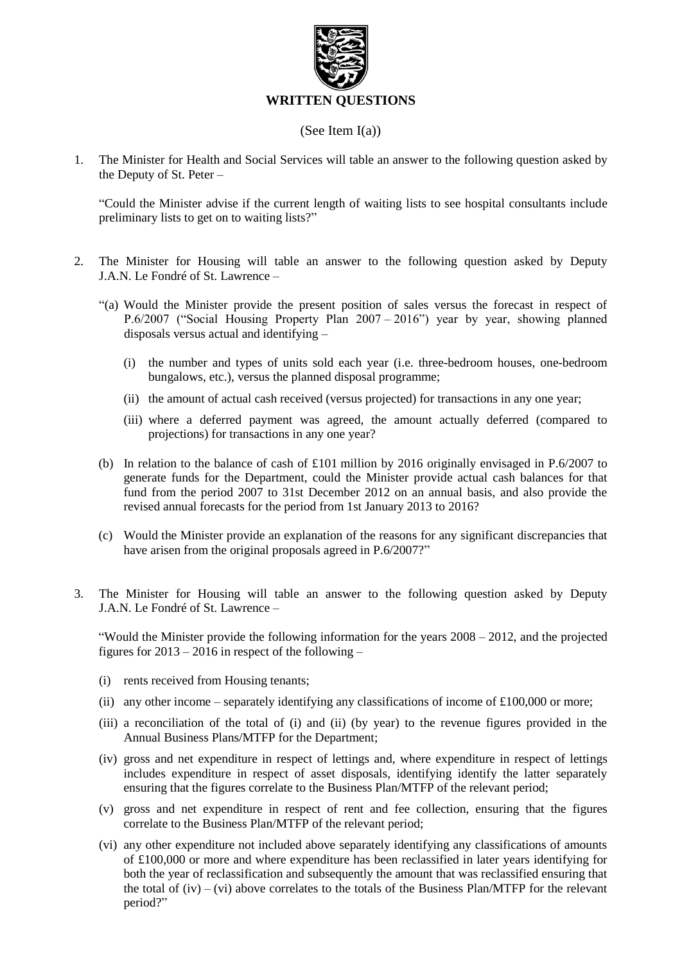

#### (See Item I(a))

1. The Minister for Health and Social Services will table an answer to the following question asked by the Deputy of St. Peter –

"Could the Minister advise if the current length of waiting lists to see hospital consultants include preliminary lists to get on to waiting lists?"

- 2. The Minister for Housing will table an answer to the following question asked by Deputy J.A.N. Le Fondré of St. Lawrence –
	- "(a) Would the Minister provide the present position of sales versus the forecast in respect of P.6/2007 ("Social Housing Property Plan 2007 – 2016") year by year, showing planned disposals versus actual and identifying –
		- (i) the number and types of units sold each year (i.e. three-bedroom houses, one-bedroom bungalows, etc.), versus the planned disposal programme;
		- (ii) the amount of actual cash received (versus projected) for transactions in any one year;
		- (iii) where a deferred payment was agreed, the amount actually deferred (compared to projections) for transactions in any one year?
	- (b) In relation to the balance of cash of £101 million by 2016 originally envisaged in P.6/2007 to generate funds for the Department, could the Minister provide actual cash balances for that fund from the period 2007 to 31st December 2012 on an annual basis, and also provide the revised annual forecasts for the period from 1st January 2013 to 2016?
	- (c) Would the Minister provide an explanation of the reasons for any significant discrepancies that have arisen from the original proposals agreed in P.6/2007?"
- 3. The Minister for Housing will table an answer to the following question asked by Deputy J.A.N. Le Fondré of St. Lawrence –

"Would the Minister provide the following information for the years 2008 – 2012, and the projected figures for  $2013 - 2016$  in respect of the following –

- (i) rents received from Housing tenants;
- (ii) any other income separately identifying any classifications of income of  $£100,000$  or more;
- (iii) a reconciliation of the total of (i) and (ii) (by year) to the revenue figures provided in the Annual Business Plans/MTFP for the Department;
- (iv) gross and net expenditure in respect of lettings and, where expenditure in respect of lettings includes expenditure in respect of asset disposals, identifying identify the latter separately ensuring that the figures correlate to the Business Plan/MTFP of the relevant period;
- (v) gross and net expenditure in respect of rent and fee collection, ensuring that the figures correlate to the Business Plan/MTFP of the relevant period;
- (vi) any other expenditure not included above separately identifying any classifications of amounts of £100,000 or more and where expenditure has been reclassified in later years identifying for both the year of reclassification and subsequently the amount that was reclassified ensuring that the total of  $(iv) - (vi)$  above correlates to the totals of the Business Plan/MTFP for the relevant period?"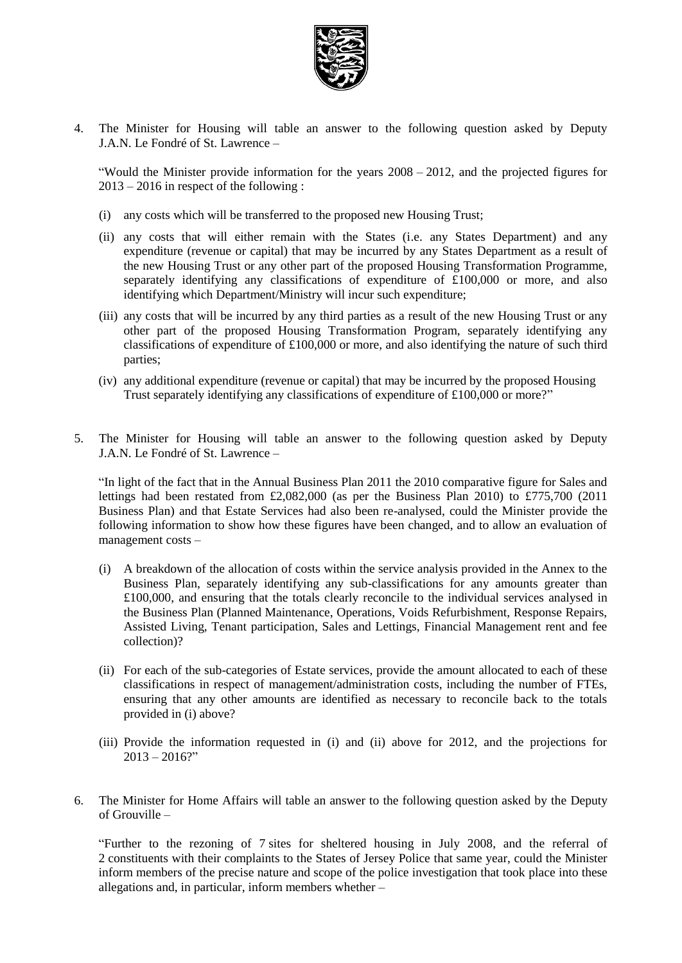

4. The Minister for Housing will table an answer to the following question asked by Deputy J.A.N. Le Fondré of St. Lawrence –

"Would the Minister provide information for the years 2008 – 2012, and the projected figures for 2013 – 2016 in respect of the following :

- (i) any costs which will be transferred to the proposed new Housing Trust;
- (ii) any costs that will either remain with the States (i.e. any States Department) and any expenditure (revenue or capital) that may be incurred by any States Department as a result of the new Housing Trust or any other part of the proposed Housing Transformation Programme, separately identifying any classifications of expenditure of £100,000 or more, and also identifying which Department/Ministry will incur such expenditure;
- (iii) any costs that will be incurred by any third parties as a result of the new Housing Trust or any other part of the proposed Housing Transformation Program, separately identifying any classifications of expenditure of £100,000 or more, and also identifying the nature of such third parties;
- (iv) any additional expenditure (revenue or capital) that may be incurred by the proposed Housing Trust separately identifying any classifications of expenditure of £100,000 or more?"
- 5. The Minister for Housing will table an answer to the following question asked by Deputy J.A.N. Le Fondré of St. Lawrence –

"In light of the fact that in the Annual Business Plan 2011 the 2010 comparative figure for Sales and lettings had been restated from £2,082,000 (as per the Business Plan 2010) to £775,700 (2011 Business Plan) and that Estate Services had also been re-analysed, could the Minister provide the following information to show how these figures have been changed, and to allow an evaluation of management costs –

- (i) A breakdown of the allocation of costs within the service analysis provided in the Annex to the Business Plan, separately identifying any sub-classifications for any amounts greater than £100,000, and ensuring that the totals clearly reconcile to the individual services analysed in the Business Plan (Planned Maintenance, Operations, Voids Refurbishment, Response Repairs, Assisted Living, Tenant participation, Sales and Lettings, Financial Management rent and fee collection)?
- (ii) For each of the sub-categories of Estate services, provide the amount allocated to each of these classifications in respect of management/administration costs, including the number of FTEs, ensuring that any other amounts are identified as necessary to reconcile back to the totals provided in (i) above?
- (iii) Provide the information requested in (i) and (ii) above for 2012, and the projections for  $2013 - 2016?$ "
- 6. The Minister for Home Affairs will table an answer to the following question asked by the Deputy of Grouville –

"Further to the rezoning of 7 sites for sheltered housing in July 2008, and the referral of 2 constituents with their complaints to the States of Jersey Police that same year, could the Minister inform members of the precise nature and scope of the police investigation that took place into these allegations and, in particular, inform members whether –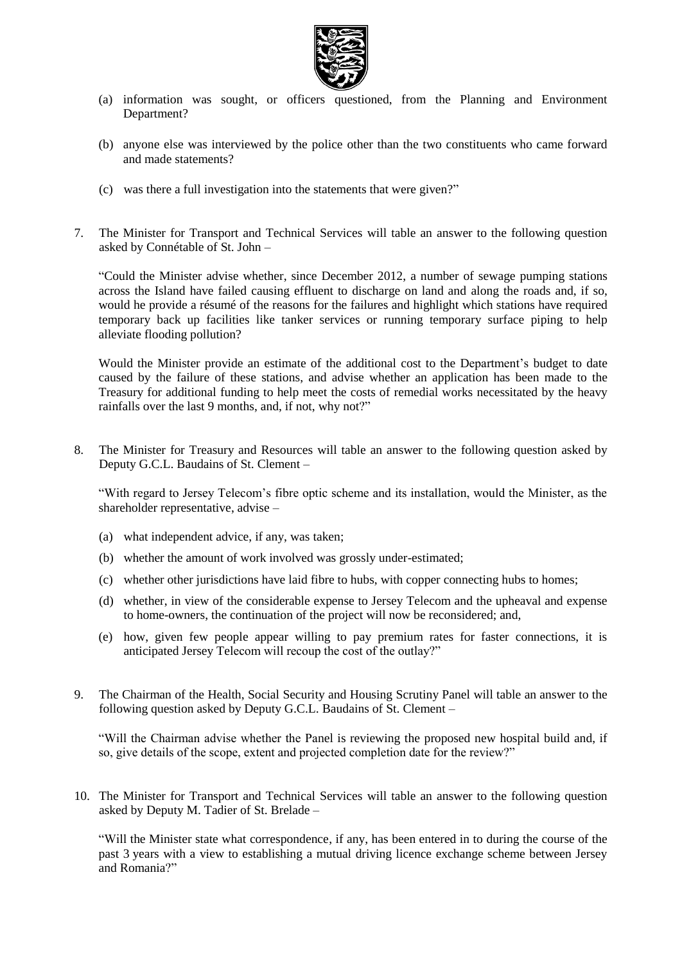

- (a) information was sought, or officers questioned, from the Planning and Environment Department?
- (b) anyone else was interviewed by the police other than the two constituents who came forward and made statements?
- (c) was there a full investigation into the statements that were given?"
- 7. The Minister for Transport and Technical Services will table an answer to the following question asked by Connétable of St. John –

"Could the Minister advise whether, since December 2012, a number of sewage pumping stations across the Island have failed causing effluent to discharge on land and along the roads and, if so, would he provide a résumé of the reasons for the failures and highlight which stations have required temporary back up facilities like tanker services or running temporary surface piping to help alleviate flooding pollution?

Would the Minister provide an estimate of the additional cost to the Department's budget to date caused by the failure of these stations, and advise whether an application has been made to the Treasury for additional funding to help meet the costs of remedial works necessitated by the heavy rainfalls over the last 9 months, and, if not, why not?"

8. The Minister for Treasury and Resources will table an answer to the following question asked by Deputy G.C.L. Baudains of St. Clement –

"With regard to Jersey Telecom's fibre optic scheme and its installation, would the Minister, as the shareholder representative, advise –

- (a) what independent advice, if any, was taken;
- (b) whether the amount of work involved was grossly under-estimated;
- (c) whether other jurisdictions have laid fibre to hubs, with copper connecting hubs to homes;
- (d) whether, in view of the considerable expense to Jersey Telecom and the upheaval and expense to home-owners, the continuation of the project will now be reconsidered; and,
- (e) how, given few people appear willing to pay premium rates for faster connections, it is anticipated Jersey Telecom will recoup the cost of the outlay?"
- 9. The Chairman of the Health, Social Security and Housing Scrutiny Panel will table an answer to the following question asked by Deputy G.C.L. Baudains of St. Clement –

"Will the Chairman advise whether the Panel is reviewing the proposed new hospital build and, if so, give details of the scope, extent and projected completion date for the review?"

10. The Minister for Transport and Technical Services will table an answer to the following question asked by Deputy M. Tadier of St. Brelade –

"Will the Minister state what correspondence, if any, has been entered in to during the course of the past 3 years with a view to establishing a mutual driving licence exchange scheme between Jersey and Romania?"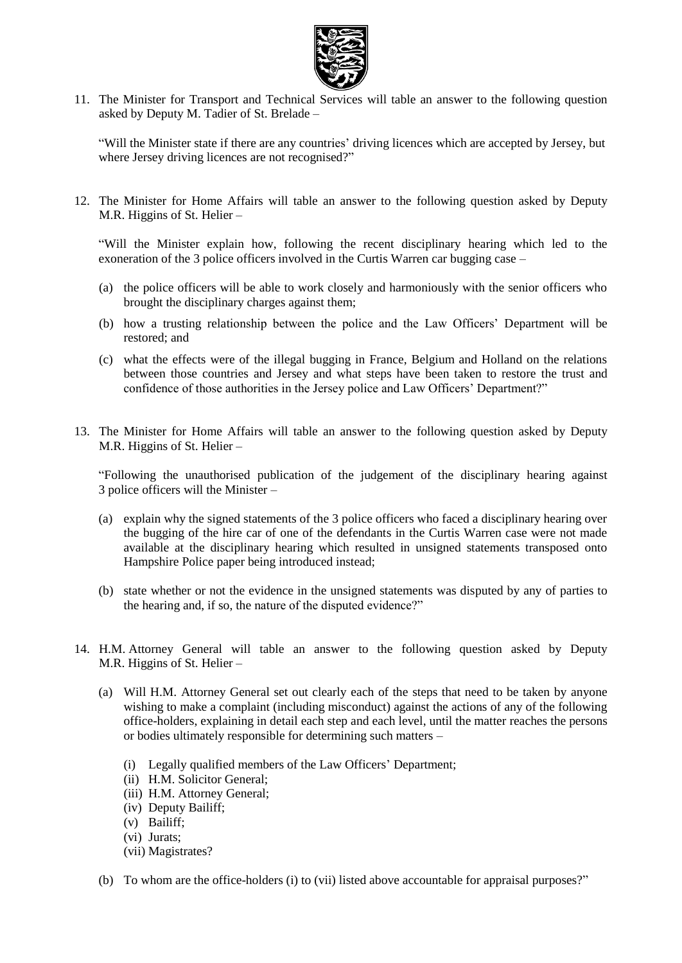

11. The Minister for Transport and Technical Services will table an answer to the following question asked by Deputy M. Tadier of St. Brelade –

"Will the Minister state if there are any countries' driving licences which are accepted by Jersey, but where Jersey driving licences are not recognised?"

12. The Minister for Home Affairs will table an answer to the following question asked by Deputy M.R. Higgins of St. Helier –

"Will the Minister explain how, following the recent disciplinary hearing which led to the exoneration of the 3 police officers involved in the Curtis Warren car bugging case –

- (a) the police officers will be able to work closely and harmoniously with the senior officers who brought the disciplinary charges against them;
- (b) how a trusting relationship between the police and the Law Officers' Department will be restored; and
- (c) what the effects were of the illegal bugging in France, Belgium and Holland on the relations between those countries and Jersey and what steps have been taken to restore the trust and confidence of those authorities in the Jersey police and Law Officers' Department?"
- 13. The Minister for Home Affairs will table an answer to the following question asked by Deputy M.R. Higgins of St. Helier –

"Following the unauthorised publication of the judgement of the disciplinary hearing against 3 police officers will the Minister –

- (a) explain why the signed statements of the 3 police officers who faced a disciplinary hearing over the bugging of the hire car of one of the defendants in the Curtis Warren case were not made available at the disciplinary hearing which resulted in unsigned statements transposed onto Hampshire Police paper being introduced instead;
- (b) state whether or not the evidence in the unsigned statements was disputed by any of parties to the hearing and, if so, the nature of the disputed evidence?"
- 14. H.M. Attorney General will table an answer to the following question asked by Deputy M.R. Higgins of St. Helier –
	- (a) Will H.M. Attorney General set out clearly each of the steps that need to be taken by anyone wishing to make a complaint (including misconduct) against the actions of any of the following office-holders, explaining in detail each step and each level, until the matter reaches the persons or bodies ultimately responsible for determining such matters –
		- (i) Legally qualified members of the Law Officers' Department;
		- (ii) H.M. Solicitor General;
		- (iii) H.M. Attorney General;
		- (iv) Deputy Bailiff;
		- (v) Bailiff;
		- (vi) Jurats;
		- (vii) Magistrates?
	- (b) To whom are the office-holders (i) to (vii) listed above accountable for appraisal purposes?"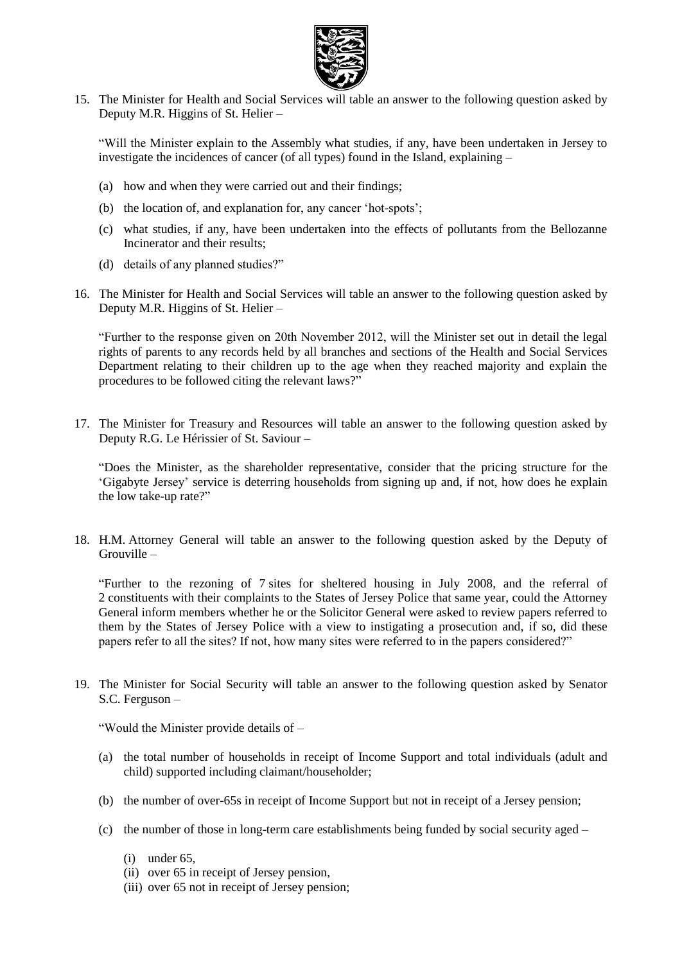

15. The Minister for Health and Social Services will table an answer to the following question asked by Deputy M.R. Higgins of St. Helier –

"Will the Minister explain to the Assembly what studies, if any, have been undertaken in Jersey to investigate the incidences of cancer (of all types) found in the Island, explaining –

- (a) how and when they were carried out and their findings;
- (b) the location of, and explanation for, any cancer 'hot-spots';
- (c) what studies, if any, have been undertaken into the effects of pollutants from the Bellozanne Incinerator and their results;
- (d) details of any planned studies?"
- 16. The Minister for Health and Social Services will table an answer to the following question asked by Deputy M.R. Higgins of St. Helier –

"Further to the response given on 20th November 2012, will the Minister set out in detail the legal rights of parents to any records held by all branches and sections of the Health and Social Services Department relating to their children up to the age when they reached majority and explain the procedures to be followed citing the relevant laws?"

17. The Minister for Treasury and Resources will table an answer to the following question asked by Deputy R.G. Le Hérissier of St. Saviour –

"Does the Minister, as the shareholder representative, consider that the pricing structure for the 'Gigabyte Jersey' service is deterring households from signing up and, if not, how does he explain the low take-up rate?"

18. H.M. Attorney General will table an answer to the following question asked by the Deputy of Grouville –

"Further to the rezoning of 7 sites for sheltered housing in July 2008, and the referral of 2 constituents with their complaints to the States of Jersey Police that same year, could the Attorney General inform members whether he or the Solicitor General were asked to review papers referred to them by the States of Jersey Police with a view to instigating a prosecution and, if so, did these papers refer to all the sites? If not, how many sites were referred to in the papers considered?"

19. The Minister for Social Security will table an answer to the following question asked by Senator S.C. Ferguson –

"Would the Minister provide details of –

- (a) the total number of households in receipt of Income Support and total individuals (adult and child) supported including claimant/householder;
- (b) the number of over-65s in receipt of Income Support but not in receipt of a Jersey pension;
- (c) the number of those in long-term care establishments being funded by social security aged
	- (i) under 65,
	- (ii) over 65 in receipt of Jersey pension,
	- (iii) over 65 not in receipt of Jersey pension;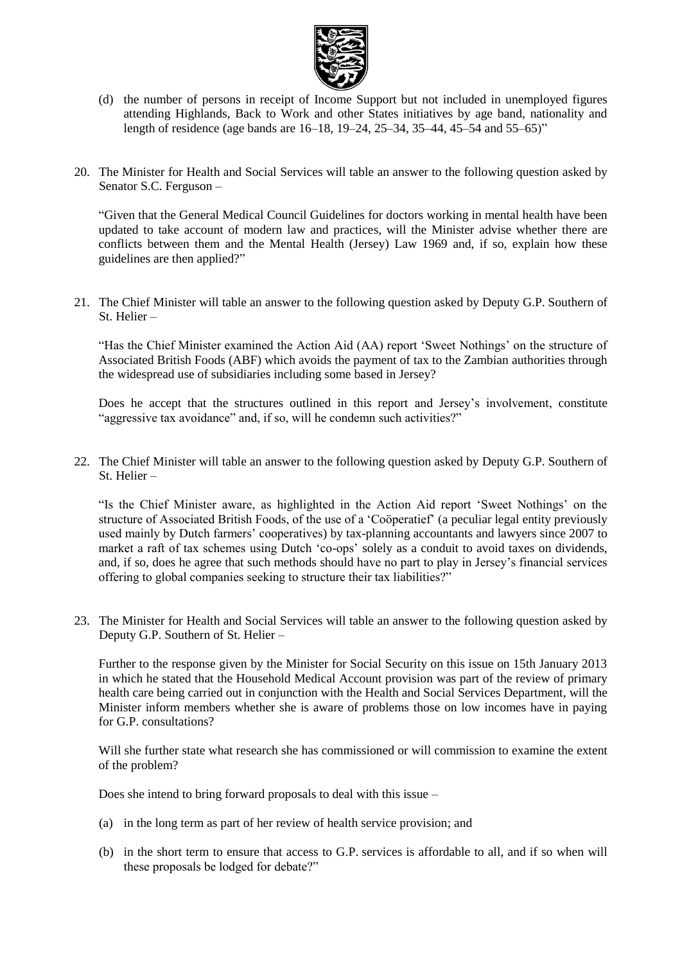

- (d) the number of persons in receipt of Income Support but not included in unemployed figures attending Highlands, Back to Work and other States initiatives by age band, nationality and length of residence (age bands are 16–18, 19–24, 25–34, 35–44, 45–54 and 55–65)"
- 20. The Minister for Health and Social Services will table an answer to the following question asked by Senator S.C. Ferguson –

"Given that the General Medical Council Guidelines for doctors working in mental health have been updated to take account of modern law and practices, will the Minister advise whether there are conflicts between them and the Mental Health (Jersey) Law 1969 and, if so, explain how these guidelines are then applied?"

21. The Chief Minister will table an answer to the following question asked by Deputy G.P. Southern of St. Helier –

"Has the Chief Minister examined the Action Aid (AA) report 'Sweet Nothings' on the structure of Associated British Foods (ABF) which avoids the payment of tax to the Zambian authorities through the widespread use of subsidiaries including some based in Jersey?

Does he accept that the structures outlined in this report and Jersey's involvement, constitute "aggressive tax avoidance" and, if so, will he condemn such activities?"

22. The Chief Minister will table an answer to the following question asked by Deputy G.P. Southern of St. Helier –

"Is the Chief Minister aware, as highlighted in the Action Aid report 'Sweet Nothings' on the structure of Associated British Foods, of the use of a 'Coöperatief' (a peculiar legal entity previously used mainly by Dutch farmers' cooperatives) by tax-planning accountants and lawyers since 2007 to market a raft of tax schemes using Dutch 'co-ops' solely as a conduit to avoid taxes on dividends, and, if so, does he agree that such methods should have no part to play in Jersey's financial services offering to global companies seeking to structure their tax liabilities?"

23. The Minister for Health and Social Services will table an answer to the following question asked by Deputy G.P. Southern of St. Helier –

Further to the response given by the Minister for Social Security on this issue on 15th January 2013 in which he stated that the Household Medical Account provision was part of the review of primary health care being carried out in conjunction with the Health and Social Services Department, will the Minister inform members whether she is aware of problems those on low incomes have in paying for G.P. consultations?

Will she further state what research she has commissioned or will commission to examine the extent of the problem?

Does she intend to bring forward proposals to deal with this issue –

- (a) in the long term as part of her review of health service provision; and
- (b) in the short term to ensure that access to G.P. services is affordable to all, and if so when will these proposals be lodged for debate?"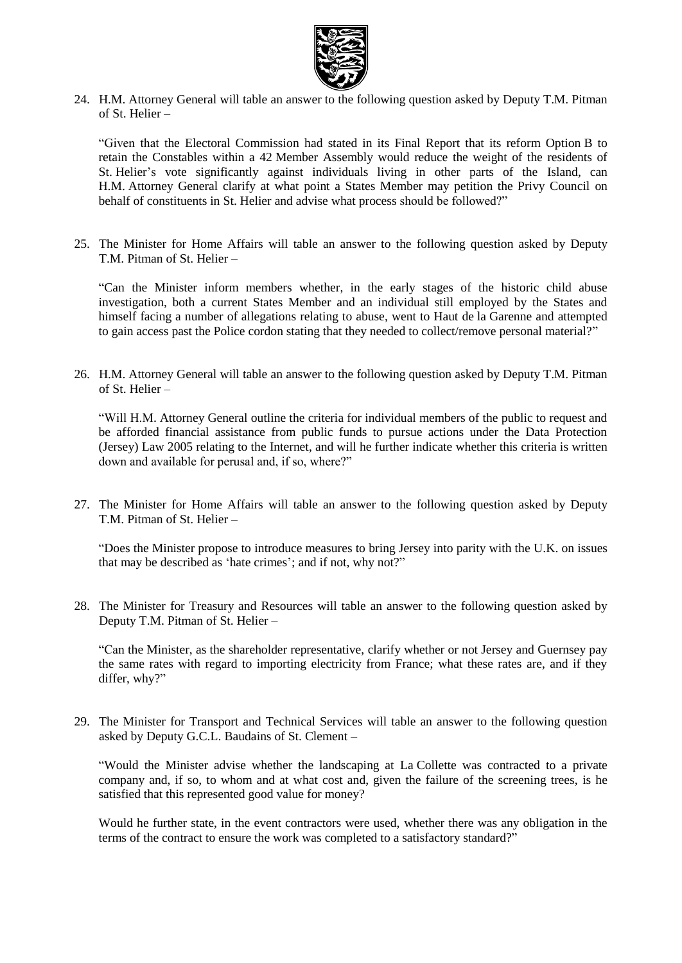

24. H.M. Attorney General will table an answer to the following question asked by Deputy T.M. Pitman of St. Helier –

"Given that the Electoral Commission had stated in its Final Report that its reform Option B to retain the Constables within a 42 Member Assembly would reduce the weight of the residents of St. Helier's vote significantly against individuals living in other parts of the Island, can H.M. Attorney General clarify at what point a States Member may petition the Privy Council on behalf of constituents in St. Helier and advise what process should be followed?"

25. The Minister for Home Affairs will table an answer to the following question asked by Deputy T.M. Pitman of St. Helier –

"Can the Minister inform members whether, in the early stages of the historic child abuse investigation, both a current States Member and an individual still employed by the States and himself facing a number of allegations relating to abuse, went to Haut de la Garenne and attempted to gain access past the Police cordon stating that they needed to collect/remove personal material?"

26. H.M. Attorney General will table an answer to the following question asked by Deputy T.M. Pitman of St. Helier –

"Will H.M. Attorney General outline the criteria for individual members of the public to request and be afforded financial assistance from public funds to pursue actions under the Data Protection (Jersey) Law 2005 relating to the Internet, and will he further indicate whether this criteria is written down and available for perusal and, if so, where?"

27. The Minister for Home Affairs will table an answer to the following question asked by Deputy T.M. Pitman of St. Helier –

"Does the Minister propose to introduce measures to bring Jersey into parity with the U.K. on issues that may be described as 'hate crimes'; and if not, why not?"

28. The Minister for Treasury and Resources will table an answer to the following question asked by Deputy T.M. Pitman of St. Helier –

"Can the Minister, as the shareholder representative, clarify whether or not Jersey and Guernsey pay the same rates with regard to importing electricity from France; what these rates are, and if they differ, why?"

29. The Minister for Transport and Technical Services will table an answer to the following question asked by Deputy G.C.L. Baudains of St. Clement –

"Would the Minister advise whether the landscaping at La Collette was contracted to a private company and, if so, to whom and at what cost and, given the failure of the screening trees, is he satisfied that this represented good value for money?

Would he further state, in the event contractors were used, whether there was any obligation in the terms of the contract to ensure the work was completed to a satisfactory standard?"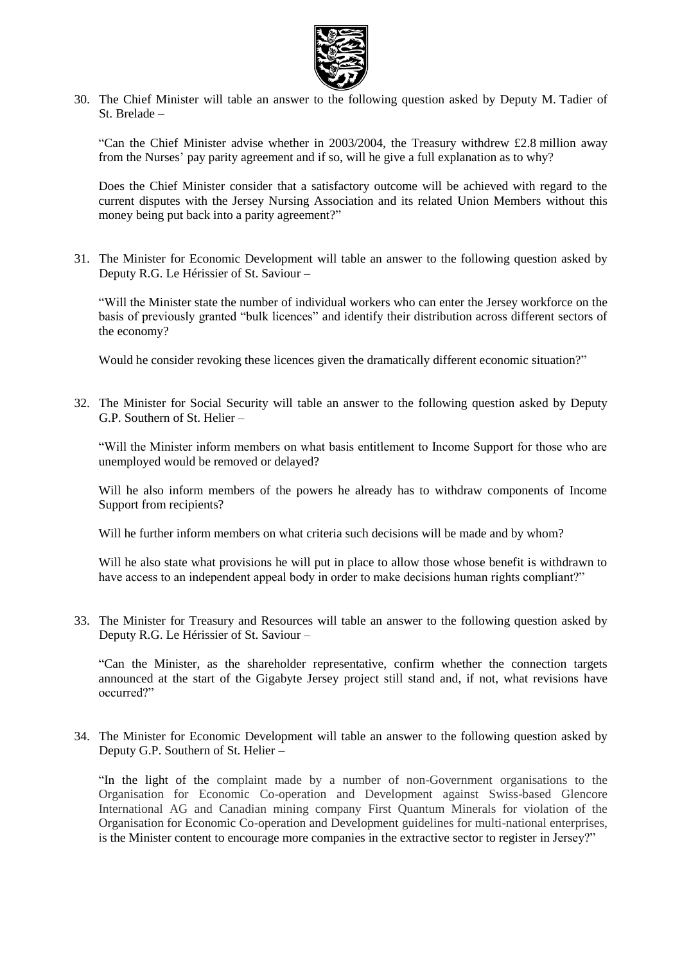

30. The Chief Minister will table an answer to the following question asked by Deputy M. Tadier of St. Brelade –

"Can the Chief Minister advise whether in 2003/2004, the Treasury withdrew £2.8 million away from the Nurses' pay parity agreement and if so, will he give a full explanation as to why?

Does the Chief Minister consider that a satisfactory outcome will be achieved with regard to the current disputes with the Jersey Nursing Association and its related Union Members without this money being put back into a parity agreement?"

31. The Minister for Economic Development will table an answer to the following question asked by Deputy R.G. Le Hérissier of St. Saviour –

"Will the Minister state the number of individual workers who can enter the Jersey workforce on the basis of previously granted "bulk licences" and identify their distribution across different sectors of the economy?

Would he consider revoking these licences given the dramatically different economic situation?"

32. The Minister for Social Security will table an answer to the following question asked by Deputy G.P. Southern of St. Helier –

"Will the Minister inform members on what basis entitlement to Income Support for those who are unemployed would be removed or delayed?

Will he also inform members of the powers he already has to withdraw components of Income Support from recipients?

Will he further inform members on what criteria such decisions will be made and by whom?

Will he also state what provisions he will put in place to allow those whose benefit is withdrawn to have access to an independent appeal body in order to make decisions human rights compliant?"

33. The Minister for Treasury and Resources will table an answer to the following question asked by Deputy R.G. Le Hérissier of St. Saviour –

"Can the Minister, as the shareholder representative, confirm whether the connection targets announced at the start of the Gigabyte Jersey project still stand and, if not, what revisions have occurred?"

34. The Minister for Economic Development will table an answer to the following question asked by Deputy G.P. Southern of St. Helier –

"In the light of the complaint made by a number of non-Government organisations to the Organisation for Economic Co-operation and Development against Swiss-based Glencore International AG and Canadian mining company First Quantum Minerals for violation of the Organisation for Economic Co-operation and Development guidelines for multi-national enterprises, is the Minister content to encourage more companies in the extractive sector to register in Jersey?"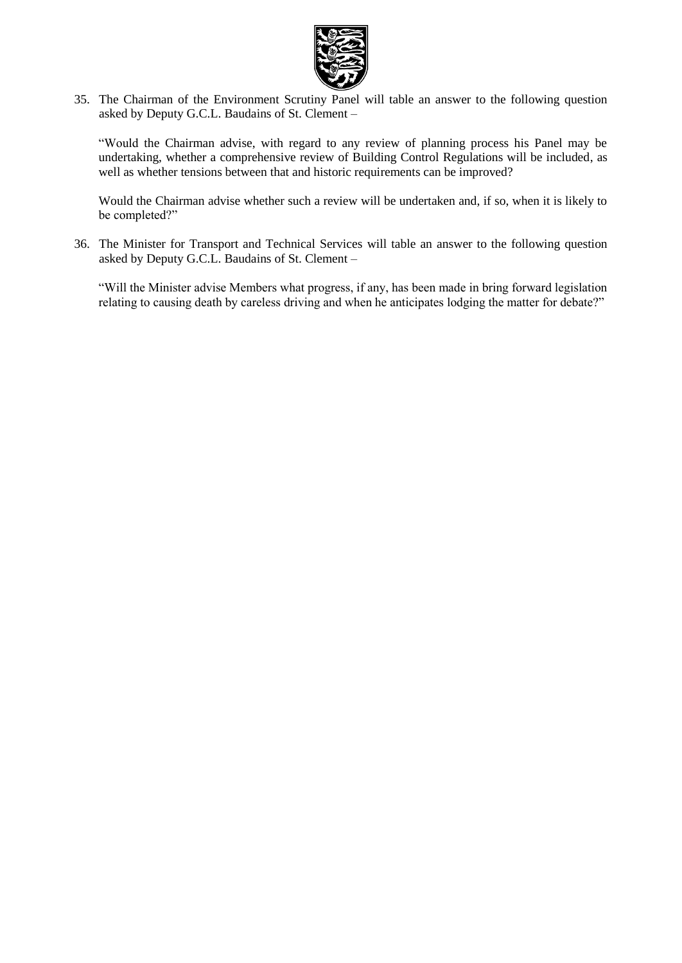

35. The Chairman of the Environment Scrutiny Panel will table an answer to the following question asked by Deputy G.C.L. Baudains of St. Clement –

"Would the Chairman advise, with regard to any review of planning process his Panel may be undertaking, whether a comprehensive review of Building Control Regulations will be included, as well as whether tensions between that and historic requirements can be improved?

Would the Chairman advise whether such a review will be undertaken and, if so, when it is likely to be completed?"

36. The Minister for Transport and Technical Services will table an answer to the following question asked by Deputy G.C.L. Baudains of St. Clement –

"Will the Minister advise Members what progress, if any, has been made in bring forward legislation relating to causing death by careless driving and when he anticipates lodging the matter for debate?"